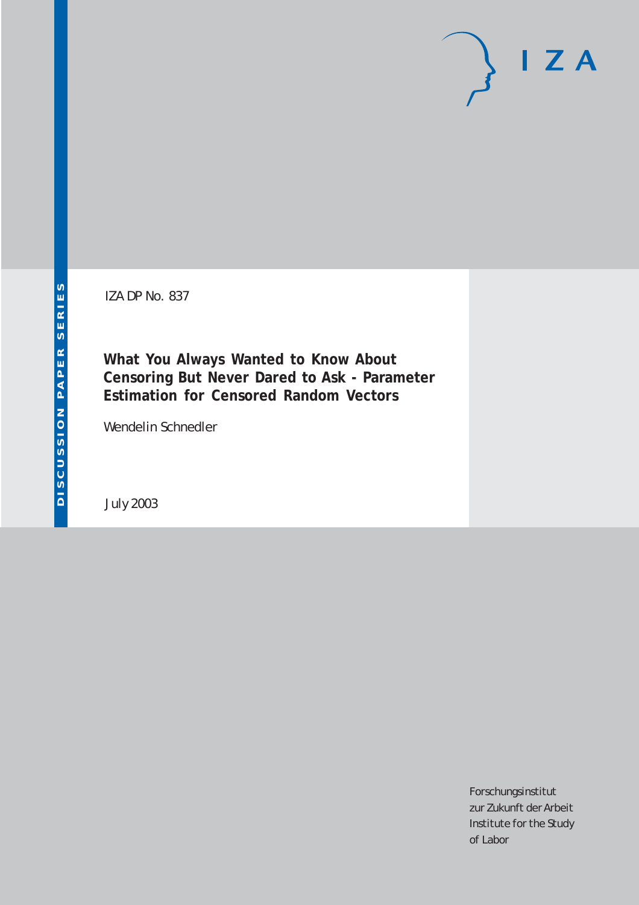IZA DP No. 837

**What You Always Wanted to Know About Censoring But Never Dared to Ask - Parameter Estimation for Censored Random Vectors**

Wendelin Schnedler

July 2003

Forschungsinstitut zur Zukunft der Arbeit Institute for the Study of Labor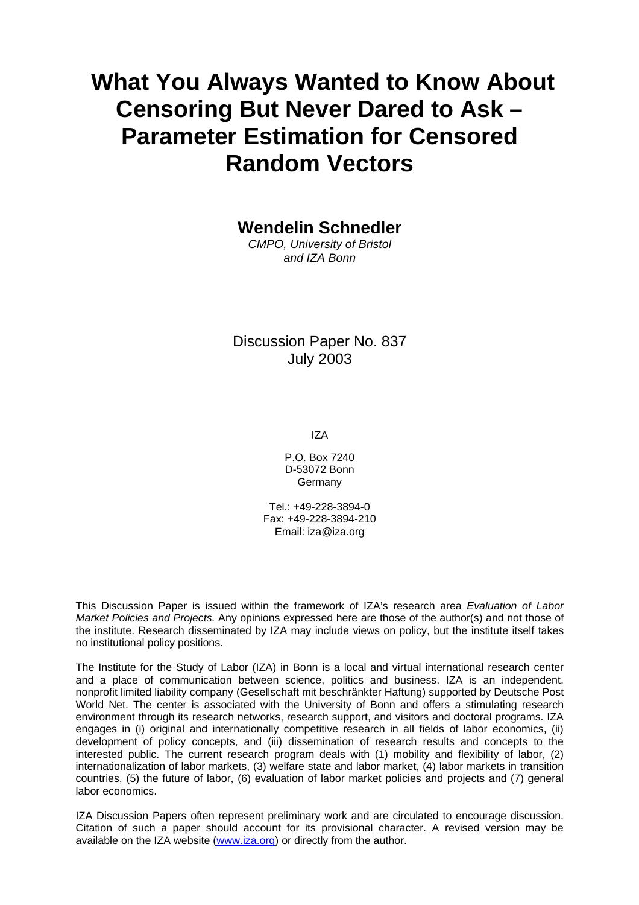# **What You Always Wanted to Know About Censoring But Never Dared to Ask – Parameter Estimation for Censored Random Vectors**

**Wendelin Schnedler** 

*CMPO, University of Bristol and IZA Bonn*

Discussion Paper No. 837 July 2003

IZA

P.O. Box 7240 D-53072 Bonn Germany

Tel.: +49-228-3894-0 Fax: +49-228-3894-210 Email: [iza@iza.org](mailto:iza@iza.org)

This Discussion Paper is issued within the framework of IZA's research area *Evaluation of Labor Market Policies and Projects.* Any opinions expressed here are those of the author(s) and not those of the institute. Research disseminated by IZA may include views on policy, but the institute itself takes no institutional policy positions.

The Institute for the Study of Labor (IZA) in Bonn is a local and virtual international research center and a place of communication between science, politics and business. IZA is an independent, nonprofit limited liability company (Gesellschaft mit beschränkter Haftung) supported by Deutsche Post World Net. The center is associated with the University of Bonn and offers a stimulating research environment through its research networks, research support, and visitors and doctoral programs. IZA engages in (i) original and internationally competitive research in all fields of labor economics, (ii) development of policy concepts, and (iii) dissemination of research results and concepts to the interested public. The current research program deals with (1) mobility and flexibility of labor, (2) internationalization of labor markets, (3) welfare state and labor market, (4) labor markets in transition countries, (5) the future of labor, (6) evaluation of labor market policies and projects and (7) general labor economics.

IZA Discussion Papers often represent preliminary work and are circulated to encourage discussion. Citation of such a paper should account for its provisional character. A revised version may be available on the IZA website ([www.iza.org](http://www.iza.org/)) or directly from the author.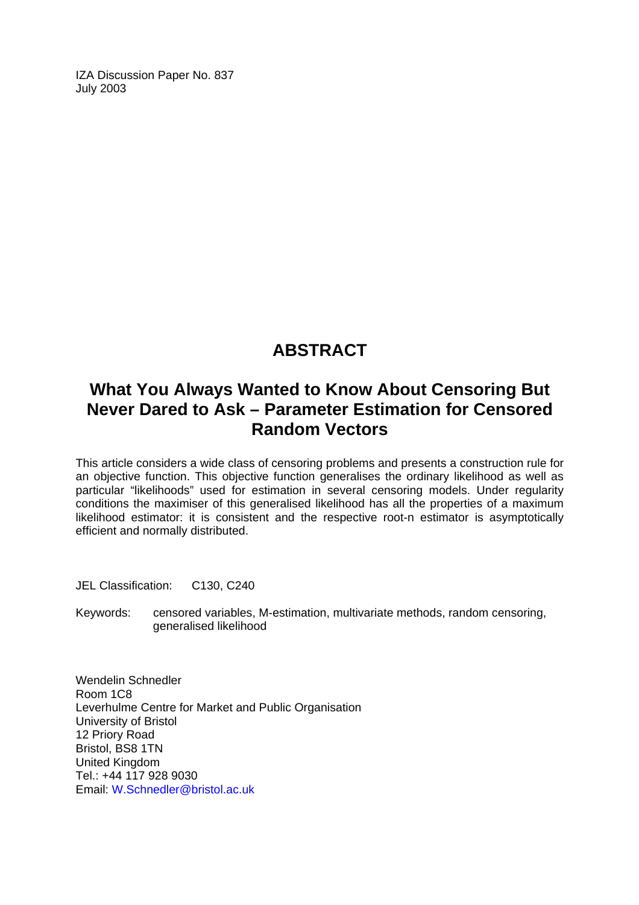IZA Discussion Paper No. 837 July 2003

## **ABSTRACT**

## **What You Always Wanted to Know About Censoring But Never Dared to Ask – Parameter Estimation for Censored Random Vectors**

This article considers a wide class of censoring problems and presents a construction rule for an objective function. This objective function generalises the ordinary likelihood as well as particular "likelihoods" used for estimation in several censoring models. Under regularity conditions the maximiser of this generalised likelihood has all the properties of a maximum likelihood estimator: it is consistent and the respective root-n estimator is asymptotically efficient and normally distributed.

JEL Classification: C130, C240

Keywords: censored variables, M-estimation, multivariate methods, random censoring, generalised likelihood

Wendelin Schnedler Room 1C8 Leverhulme Centre for Market and Public Organisation University of Bristol 12 Priory Road Bristol, BS8 1TN United Kingdom Tel.: +44 117 928 9030 Email: [W.Schnedler@bristol.ac.uk](mailto:W.Schnedler@bristol.ac.uk)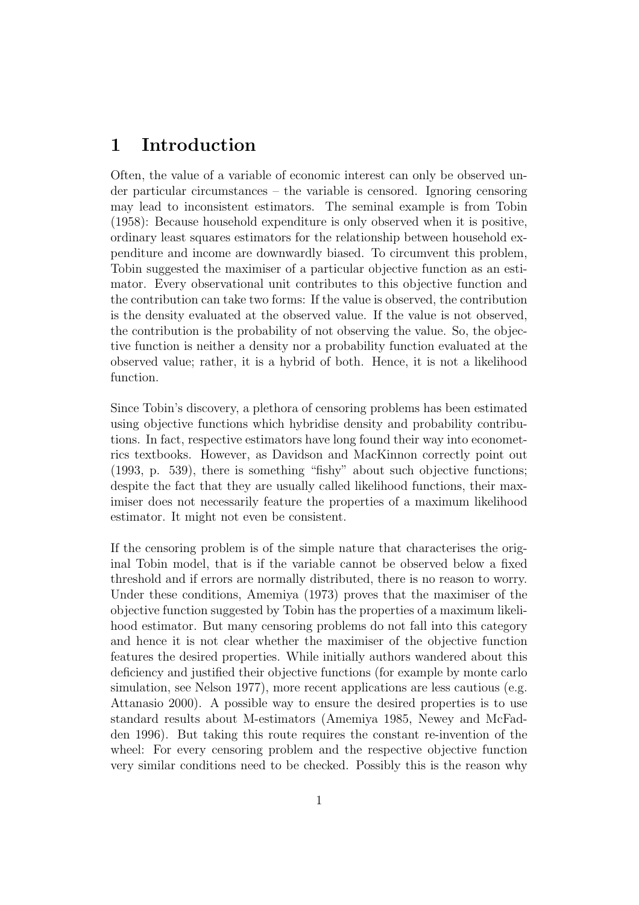## 1 Introduction

Often, the value of a variable of economic interest can only be observed under particular circumstances – the variable is censored. Ignoring censoring may lead to inconsistent estimators. The seminal example is from Tobin (1958): Because household expenditure is only observed when it is positive, ordinary least squares estimators for the relationship between household expenditure and income are downwardly biased. To circumvent this problem, Tobin suggested the maximiser of a particular objective function as an estimator. Every observational unit contributes to this objective function and the contribution can take two forms: If the value is observed, the contribution is the density evaluated at the observed value. If the value is not observed, the contribution is the probability of not observing the value. So, the objective function is neither a density nor a probability function evaluated at the observed value; rather, it is a hybrid of both. Hence, it is not a likelihood function.

Since Tobin's discovery, a plethora of censoring problems has been estimated using objective functions which hybridise density and probability contributions. In fact, respective estimators have long found their way into econometrics textbooks. However, as Davidson and MacKinnon correctly point out (1993, p. 539), there is something "fishy" about such objective functions; despite the fact that they are usually called likelihood functions, their maximiser does not necessarily feature the properties of a maximum likelihood estimator. It might not even be consistent.

If the censoring problem is of the simple nature that characterises the original Tobin model, that is if the variable cannot be observed below a fixed threshold and if errors are normally distributed, there is no reason to worry. Under these conditions, Amemiya (1973) proves that the maximiser of the objective function suggested by Tobin has the properties of a maximum likelihood estimator. But many censoring problems do not fall into this category and hence it is not clear whether the maximiser of the objective function features the desired properties. While initially authors wandered about this deficiency and justified their objective functions (for example by monte carlo simulation, see Nelson 1977), more recent applications are less cautious (e.g. Attanasio 2000). A possible way to ensure the desired properties is to use standard results about M-estimators (Amemiya 1985, Newey and McFadden 1996). But taking this route requires the constant re-invention of the wheel: For every censoring problem and the respective objective function very similar conditions need to be checked. Possibly this is the reason why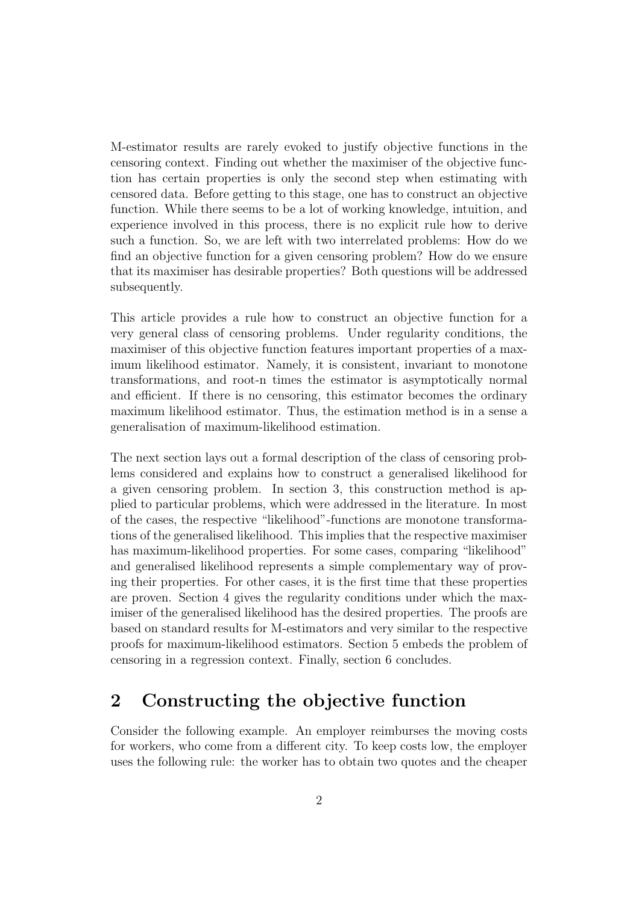M-estimator results are rarely evoked to justify objective functions in the censoring context. Finding out whether the maximiser of the objective function has certain properties is only the second step when estimating with censored data. Before getting to this stage, one has to construct an objective function. While there seems to be a lot of working knowledge, intuition, and experience involved in this process, there is no explicit rule how to derive such a function. So, we are left with two interrelated problems: How do we find an objective function for a given censoring problem? How do we ensure that its maximiser has desirable properties? Both questions will be addressed subsequently.

This article provides a rule how to construct an objective function for a very general class of censoring problems. Under regularity conditions, the maximiser of this objective function features important properties of a maximum likelihood estimator. Namely, it is consistent, invariant to monotone transformations, and root-n times the estimator is asymptotically normal and efficient. If there is no censoring, this estimator becomes the ordinary maximum likelihood estimator. Thus, the estimation method is in a sense a generalisation of maximum-likelihood estimation.

The next section lays out a formal description of the class of censoring problems considered and explains how to construct a generalised likelihood for a given censoring problem. In section 3, this construction method is applied to particular problems, which were addressed in the literature. In most of the cases, the respective "likelihood"-functions are monotone transformations of the generalised likelihood. This implies that the respective maximiser has maximum-likelihood properties. For some cases, comparing "likelihood" and generalised likelihood represents a simple complementary way of proving their properties. For other cases, it is the first time that these properties are proven. Section 4 gives the regularity conditions under which the maximiser of the generalised likelihood has the desired properties. The proofs are based on standard results for M-estimators and very similar to the respective proofs for maximum-likelihood estimators. Section 5 embeds the problem of censoring in a regression context. Finally, section 6 concludes.

## 2 Constructing the objective function

Consider the following example. An employer reimburses the moving costs for workers, who come from a different city. To keep costs low, the employer uses the following rule: the worker has to obtain two quotes and the cheaper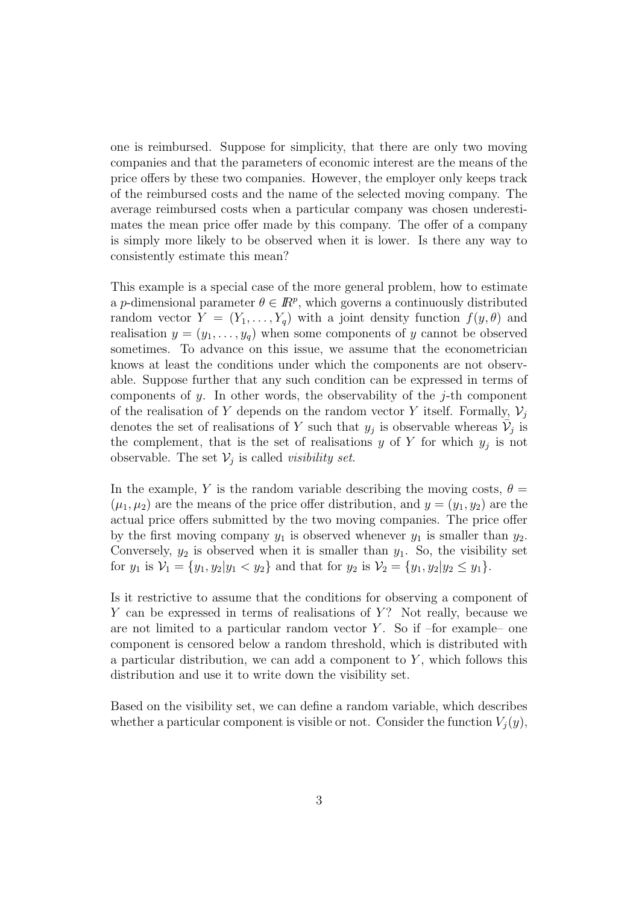one is reimbursed. Suppose for simplicity, that there are only two moving companies and that the parameters of economic interest are the means of the price offers by these two companies. However, the employer only keeps track of the reimbursed costs and the name of the selected moving company. The average reimbursed costs when a particular company was chosen underestimates the mean price offer made by this company. The offer of a company is simply more likely to be observed when it is lower. Is there any way to consistently estimate this mean?

This example is a special case of the more general problem, how to estimate a *p*-dimensional parameter  $\theta \in \mathbb{R}^p$ , which governs a continuously distributed random vector  $Y = (Y_1, \ldots, Y_q)$  with a joint density function  $f(y, \theta)$  and realisation  $y = (y_1, \ldots, y_q)$  when some components of y cannot be observed sometimes. To advance on this issue, we assume that the econometrician knows at least the conditions under which the components are not observable. Suppose further that any such condition can be expressed in terms of components of y. In other words, the observability of the  $j$ -th component of the realisation of Y depends on the random vector Y itself. Formally,  $\mathcal{V}_j$ denotes the set of realisations of Y such that  $y_j$  is observable whereas  $\overline{\mathcal{V}}_j$  is the complement, that is the set of realisations  $y$  of  $Y$  for which  $y_j$  is not observable. The set  $\mathcal{V}_j$  is called *visibility set*.

In the example, Y is the random variable describing the moving costs,  $\theta =$  $(\mu_1, \mu_2)$  are the means of the price offer distribution, and  $y = (y_1, y_2)$  are the actual price offers submitted by the two moving companies. The price offer by the first moving company  $y_1$  is observed whenever  $y_1$  is smaller than  $y_2$ . Conversely,  $y_2$  is observed when it is smaller than  $y_1$ . So, the visibility set for  $y_1$  is  $\mathcal{V}_1 = \{y_1, y_2 | y_1 < y_2\}$  and that for  $y_2$  is  $\mathcal{V}_2 = \{y_1, y_2 | y_2 \le y_1\}.$ 

Is it restrictive to assume that the conditions for observing a component of Y can be expressed in terms of realisations of  $Y$ ? Not really, because we are not limited to a particular random vector  $Y$ . So if –for example– one component is censored below a random threshold, which is distributed with a particular distribution, we can add a component to  $Y$ , which follows this distribution and use it to write down the visibility set.

Based on the visibility set, we can define a random variable, which describes whether a particular component is visible or not. Consider the function  $V_i(y)$ ,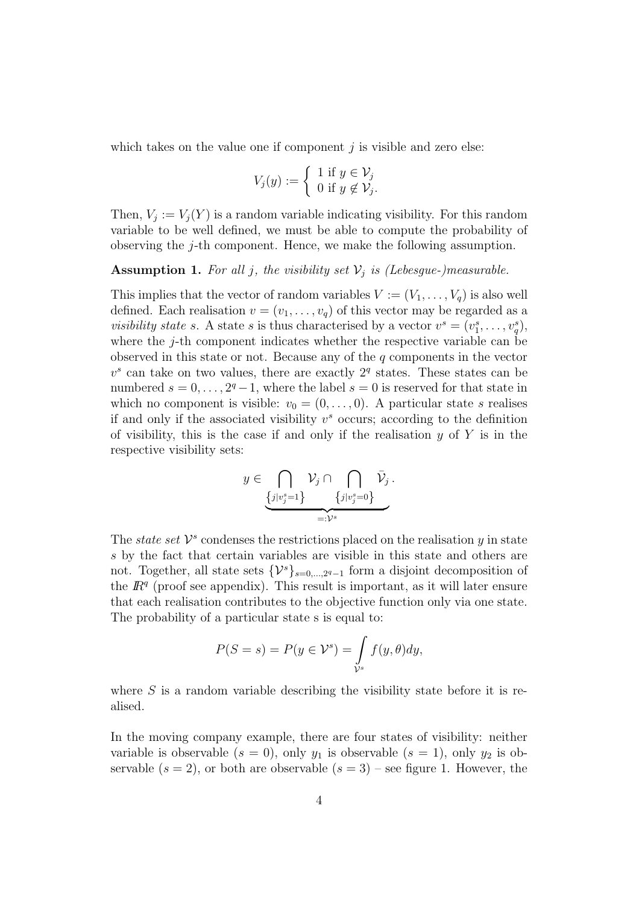which takes on the value one if component  $i$  is visible and zero else:

$$
V_j(y) := \begin{cases} 1 & \text{if } y \in \mathcal{V}_j \\ 0 & \text{if } y \notin \mathcal{V}_j. \end{cases}
$$

Then,  $V_j := V_j(Y)$  is a random variable indicating visibility. For this random variable to be well defined, we must be able to compute the probability of observing the j-th component. Hence, we make the following assumption.

**Assumption 1.** For all j, the visibility set  $V_j$  is (Lebesgue-)measurable.

This implies that the vector of random variables  $V := (V_1, \ldots, V_q)$  is also well defined. Each realisation  $v = (v_1, \ldots, v_q)$  of this vector may be regarded as a *visibility state s*. A state *s* is thus characterised by a vector  $v^s = (v_1^s, \ldots, v_q^s)$ , where the  $j$ -th component indicates whether the respective variable can be observed in this state or not. Because any of the  $q$  components in the vector  $v<sup>s</sup>$  can take on two values, there are exactly  $2<sup>q</sup>$  states. These states can be numbered  $s = 0, \ldots, 2^q-1$ , where the label  $s = 0$  is reserved for that state in which no component is visible:  $v_0 = (0, \ldots, 0)$ . A particular state s realises if and only if the associated visibility  $v^s$  occurs; according to the definition of visibility, this is the case if and only if the realisation  $y$  of Y is in the respective visibility sets:

$$
y \in \bigcap_{\{j|v_j^s=1\}} \mathcal{V}_j \cap \bigcap_{\{j|v_j^s=0\}} \bar{\mathcal{V}}_j.
$$

The *state set*  $V^s$  condenses the restrictions placed on the realisation y in state s by the fact that certain variables are visible in this state and others are not. Together, all state sets  ${y_s}_{s=0,\dots,2^q-1}$  form a disjoint decomposition of the  $\mathbb{R}^q$  (proof see appendix). This result is important, as it will later ensure that each realisation contributes to the objective function only via one state. The probability of a particular state s is equal to:

$$
P(S = s) = P(y \in \mathcal{V}^s) = \int_{\mathcal{V}^s} f(y, \theta) dy,
$$

where  $S$  is a random variable describing the visibility state before it is realised.

In the moving company example, there are four states of visibility: neither variable is observable  $(s = 0)$ , only  $y_1$  is observable  $(s = 1)$ , only  $y_2$  is observable  $(s = 2)$ , or both are observable  $(s = 3)$  – see figure 1. However, the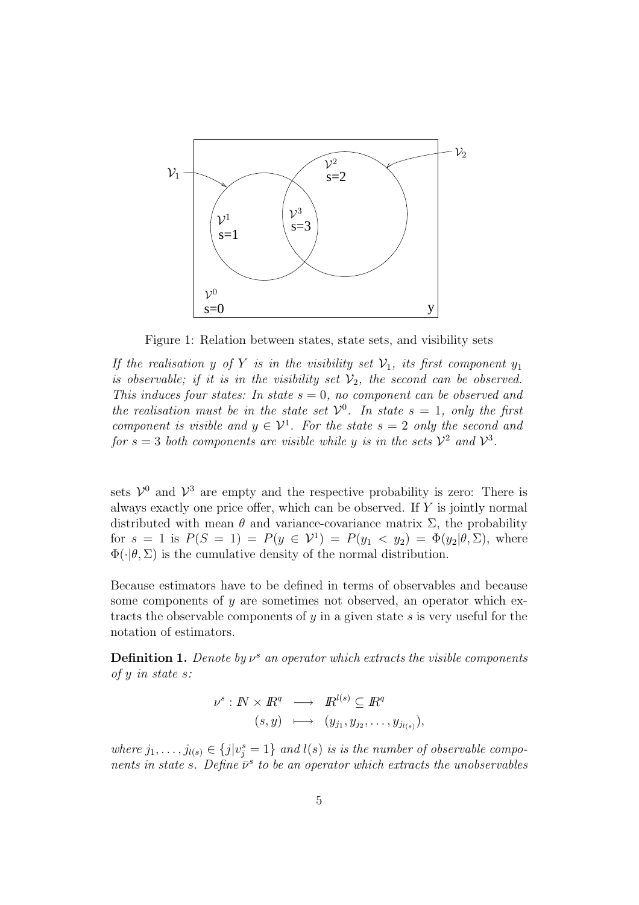

Figure 1: Relation between states, state sets, and visibility sets

If the realisation y of Y is in the visibility set  $\mathcal{V}_1$ , its first component  $y_1$ is observable; if it is in the visibility set  $\mathcal{V}_2$ , the second can be observed. This induces four states: In state  $s = 0$ , no component can be observed and the realisation must be in the state set  $\mathcal{V}^0$ . In state  $s = 1$ , only the first component is visible and  $y \in \mathcal{V}^1$ . For the state  $s = 2$  only the second and for  $s = 3$  both components are visible while y is in the sets  $\mathcal{V}^2$  and  $\mathcal{V}^3$ .

sets  $\mathcal{V}^0$  and  $\mathcal{V}^3$  are empty and the respective probability is zero: There is always exactly one price offer, which can be observed. If Y is jointly normal distributed with mean  $\theta$  and variance-covariance matrix  $\Sigma$ , the probability for  $s = 1$  is  $P(S = 1) = P(y \in V^1) = P(y_1 \lt y_2) = \Phi(y_2 | \theta, \Sigma)$ , where  $\Phi(\cdot|\theta, \Sigma)$  is the cumulative density of the normal distribution.

Because estimators have to be defined in terms of observables and because some components of  $y$  are sometimes not observed, an operator which extracts the observable components of  $y$  in a given state  $s$  is very useful for the notation of estimators.

**Definition 1.** Denote by  $\nu^s$  an operator which extracts the visible components of y in state s:

$$
\nu^{s}: \mathbb{N} \times \mathbb{R}^{q} \longrightarrow \mathbb{R}^{l(s)} \subseteq \mathbb{R}^{q}
$$
  

$$
(s, y) \longmapsto (y_{j_1}, y_{j_2}, \dots, y_{j_{l(s)}}),
$$

where  $j_1, \ldots, j_{l(s)} \in \{j | v_j^s = 1\}$  and  $l(s)$  is is the number of observable components in state s. Define  $\bar{\nu}^s$  to be an operator which extracts the unobservables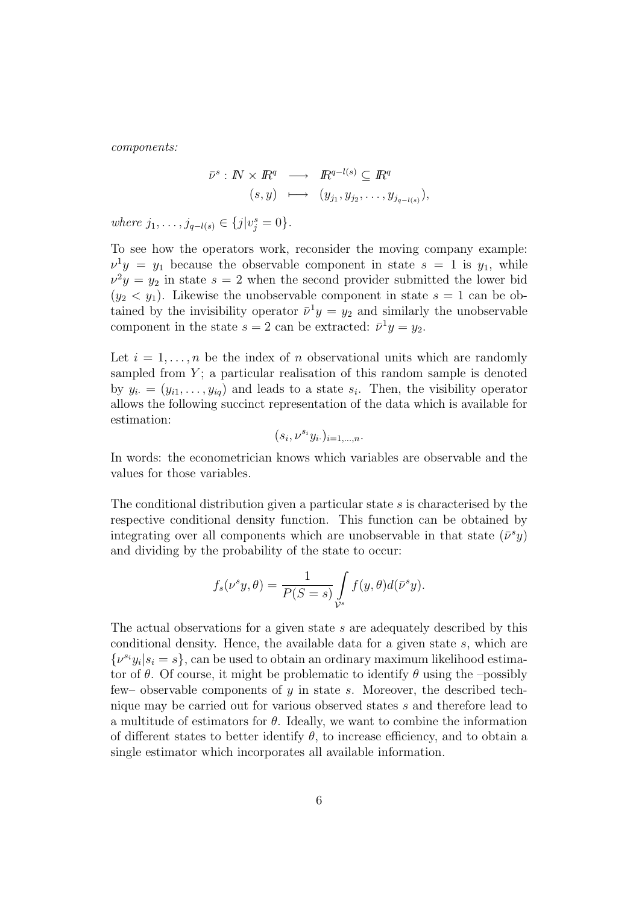components:

$$
\overline{\nu}^{s}: \mathbb{N} \times \mathbb{R}^{q} \longrightarrow \mathbb{R}^{q-l(s)} \subseteq \mathbb{R}^{q}
$$
  

$$
(s, y) \longmapsto (y_{j_1}, y_{j_2}, \dots, y_{j_{q-l(s)}}),
$$

where  $j_1, \ldots, j_{q-l(s)} \in \{j | v_j^s = 0\}.$ 

To see how the operators work, reconsider the moving company example:  $\nu^1 y = y_1$  because the observable component in state  $s = 1$  is  $y_1$ , while  $\nu^2 y = y_2$  in state  $s = 2$  when the second provider submitted the lower bid  $(y_2 < y_1)$ . Likewise the unobservable component in state  $s = 1$  can be obtained by the invisibility operator  $\bar{\nu}^1 y = y_2$  and similarly the unobservable component in the state  $s = 2$  can be extracted:  $\bar{\nu}^1 y = y_2$ .

Let  $i = 1, \ldots, n$  be the index of n observational units which are randomly sampled from  $Y$ ; a particular realisation of this random sample is denoted by  $y_i = (y_{i1}, \ldots, y_{iq})$  and leads to a state  $s_i$ . Then, the visibility operator allows the following succinct representation of the data which is available for estimation:

$$
(s_i,\nu^{s_i}y_i.)_{i=1,\ldots,n}.
$$

In words: the econometrician knows which variables are observable and the values for those variables.

The conditional distribution given a particular state  $s$  is characterised by the respective conditional density function. This function can be obtained by integrating over all components which are unobservable in that state  $(\bar{\nu}^s y)$ and dividing by the probability of the state to occur:

$$
f_s(\nu^s y, \theta) = \frac{1}{P(S=s)} \int_{\mathcal{V}^s} f(y, \theta) d(\bar{\nu}^s y).
$$

The actual observations for a given state s are adequately described by this conditional density. Hence, the available data for a given state s, which are  $\{\nu^{s_i} y_i | s_i = s\}$ , can be used to obtain an ordinary maximum likelihood estimator of  $\theta$ . Of course, it might be problematic to identify  $\theta$  using the –possibly few– observable components of  $y$  in state s. Moreover, the described technique may be carried out for various observed states s and therefore lead to a multitude of estimators for  $\theta$ . Ideally, we want to combine the information of different states to better identify  $\theta$ , to increase efficiency, and to obtain a single estimator which incorporates all available information.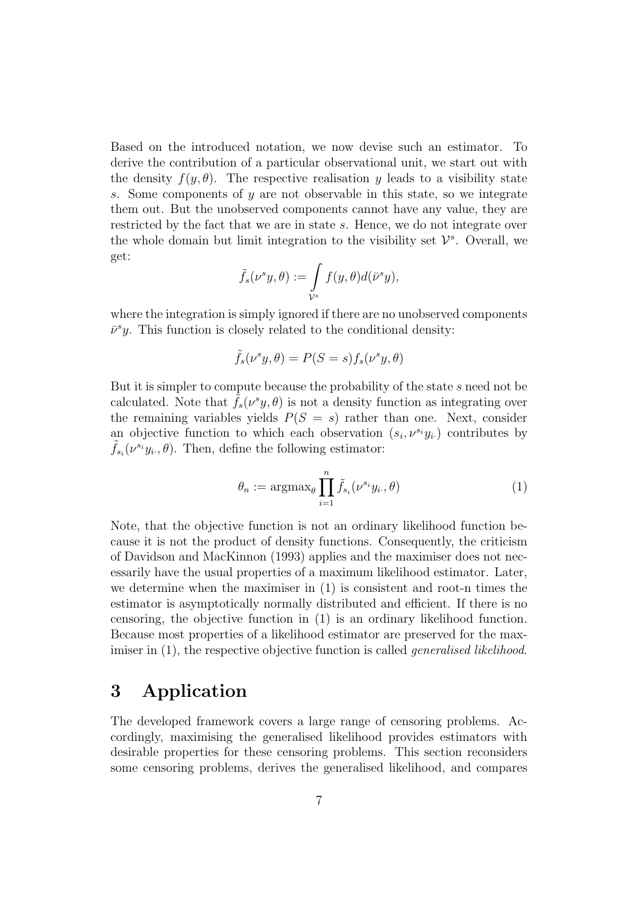Based on the introduced notation, we now devise such an estimator. To derive the contribution of a particular observational unit, we start out with the density  $f(y, \theta)$ . The respective realisation y leads to a visibility state s. Some components of  $\gamma$  are not observable in this state, so we integrate them out. But the unobserved components cannot have any value, they are restricted by the fact that we are in state s. Hence, we do not integrate over the whole domain but limit integration to the visibility set  $\mathcal{V}^s$ . Overall, we get:

$$
\tilde{f}_s(\nu^s y,\theta) := \int\limits_{\mathcal{V}^s} f(y,\theta) d(\bar{\nu}^s y),
$$

where the integration is simply ignored if there are no unobserved components  $\bar{\nu}^s y$ . This function is closely related to the conditional density:

$$
\tilde{f}_s(\nu^s y, \theta) = P(S = s) f_s(\nu^s y, \theta)
$$

But it is simpler to compute because the probability of the state s need not be calculated. Note that  $\tilde{f}_s(\nu^s y, \theta)$  is not a density function as integrating over the remaining variables yields  $P(S = s)$  rather than one. Next, consider an objective function to which each observation  $(s_i, \nu^{s_i} y_i)$  contributes by  $\tilde{f}_{s_i}(\nu^{s_i}y_i,\theta)$ . Then, define the following estimator:

$$
\theta_n := \operatorname{argmax}_{\theta} \prod_{i=1}^n \tilde{f}_{s_i}(\nu^{s_i} y_i, \theta) \tag{1}
$$

Note, that the objective function is not an ordinary likelihood function because it is not the product of density functions. Consequently, the criticism of Davidson and MacKinnon (1993) applies and the maximiser does not necessarily have the usual properties of a maximum likelihood estimator. Later, we determine when the maximiser in (1) is consistent and root-n times the estimator is asymptotically normally distributed and efficient. If there is no censoring, the objective function in (1) is an ordinary likelihood function. Because most properties of a likelihood estimator are preserved for the maximiser in (1), the respective objective function is called *generalised likelihood*.

## 3 Application

The developed framework covers a large range of censoring problems. Accordingly, maximising the generalised likelihood provides estimators with desirable properties for these censoring problems. This section reconsiders some censoring problems, derives the generalised likelihood, and compares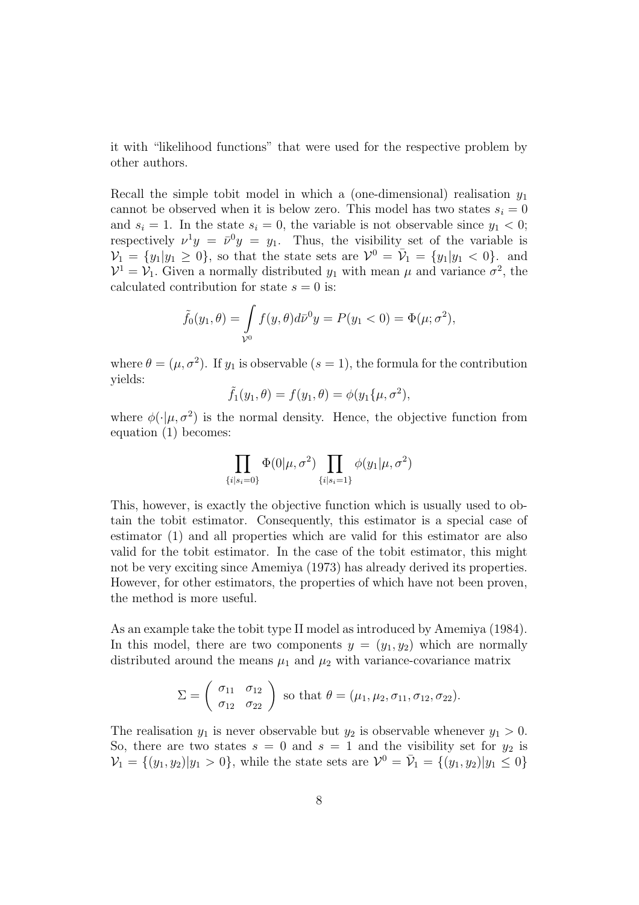it with "likelihood functions" that were used for the respective problem by other authors.

Recall the simple tobit model in which a (one-dimensional) realisation  $y_1$ cannot be observed when it is below zero. This model has two states  $s_i = 0$ and  $s_i = 1$ . In the state  $s_i = 0$ , the variable is not observable since  $y_1 < 0$ ; respectively  $\nu^1 y = \bar{\nu}^0 y = y_1$ . Thus, the visibility set of the variable is  $\mathcal{V}_1 = \{y_1 | y_1 \geq 0\}$ , so that the state sets are  $\mathcal{V}^0 = \overline{\mathcal{V}}_1 = \{y_1 | y_1 < 0\}$ , and  $\mathcal{V}^1 = \mathcal{V}_1$ . Given a normally distributed  $y_1$  with mean  $\mu$  and variance  $\sigma^2$ , the calculated contribution for state  $s = 0$  is:

$$
\tilde{f}_0(y_1, \theta) = \int_{\mathcal{V}^0} f(y, \theta) d\bar{\nu}^0 y = P(y_1 < 0) = \Phi(\mu; \sigma^2),
$$

where  $\theta = (\mu, \sigma^2)$ . If  $y_1$  is observable  $(s = 1)$ , the formula for the contribution yields:

$$
\tilde{f}_1(y_1,\theta) = f(y_1,\theta) = \phi(y_1\{\mu,\sigma^2),
$$

where  $\phi(\cdot|\mu, \sigma^2)$  is the normal density. Hence, the objective function from equation (1) becomes:

$$
\prod_{\{i|s_i=0\}} \Phi(0|\mu, \sigma^2) \prod_{\{i|s_i=1\}} \phi(y_1|\mu, \sigma^2)
$$

This, however, is exactly the objective function which is usually used to obtain the tobit estimator. Consequently, this estimator is a special case of estimator (1) and all properties which are valid for this estimator are also valid for the tobit estimator. In the case of the tobit estimator, this might not be very exciting since Amemiya (1973) has already derived its properties. However, for other estimators, the properties of which have not been proven, the method is more useful.

As an example take the tobit type II model as introduced by Amemiya (1984). In this model, there are two components  $y = (y_1, y_2)$  which are normally distributed around the means  $\mu_1$  and  $\mu_2$  with variance-covariance matrix

$$
\Sigma = \begin{pmatrix} \sigma_{11} & \sigma_{12} \\ \sigma_{12} & \sigma_{22} \end{pmatrix}
$$
 so that  $\theta = (\mu_1, \mu_2, \sigma_{11}, \sigma_{12}, \sigma_{22}).$ 

The realisation  $y_1$  is never observable but  $y_2$  is observable whenever  $y_1 > 0$ . So, there are two states  $s = 0$  and  $s = 1$  and the visibility set for  $y_2$  is  $\mathcal{V}_1 = \{(y_1, y_2)|y_1 > 0\}$ , while the state sets are  $\mathcal{V}^0 = \bar{\mathcal{V}}_1 = \{(y_1, y_2)|y_1 \leq 0\}$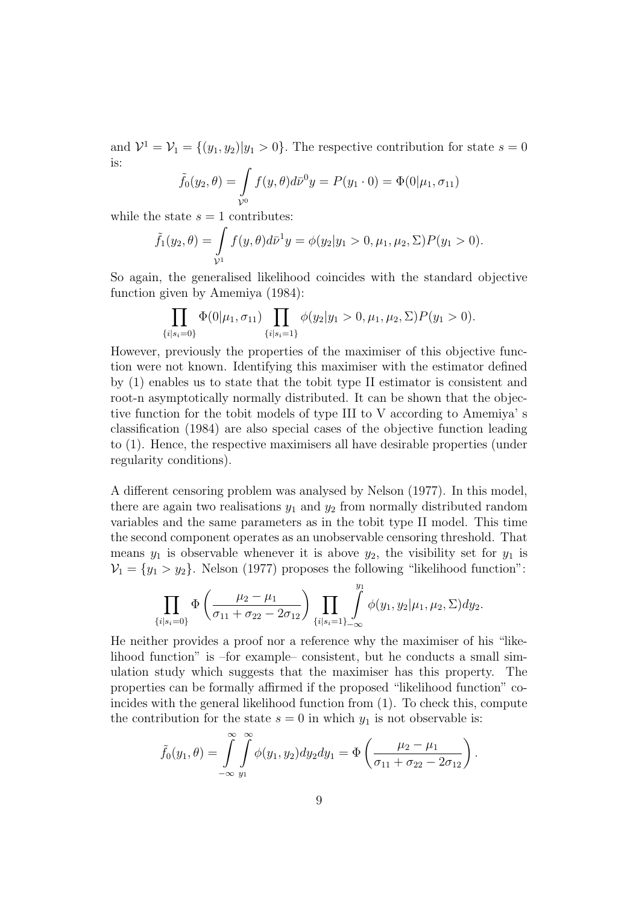and  $\mathcal{V}^1 = \mathcal{V}_1 = \{(y_1, y_2)|y_1 > 0\}$ . The respective contribution for state  $s = 0$ is:

$$
\tilde{f}_0(y_2, \theta) = \int_{\mathcal{V}^0} f(y, \theta) d\bar{\nu}^0 y = P(y_1 \cdot 0) = \Phi(0 | \mu_1, \sigma_{11})
$$

while the state  $s = 1$  contributes:

$$
\tilde{f}_1(y_2,\theta) = \int_{\mathcal{V}^1} f(y,\theta) d\bar{\nu}^1 y = \phi(y_2|y_1 > 0, \mu_1, \mu_2, \Sigma) P(y_1 > 0).
$$

So again, the generalised likelihood coincides with the standard objective function given by Amemiya (1984):

$$
\prod_{\{i|s_i=0\}} \Phi(0|\mu_1, \sigma_{11}) \prod_{\{i|s_i=1\}} \phi(y_2|y_1>0, \mu_1, \mu_2, \Sigma) P(y_1>0).
$$

However, previously the properties of the maximiser of this objective function were not known. Identifying this maximiser with the estimator defined by (1) enables us to state that the tobit type II estimator is consistent and root-n asymptotically normally distributed. It can be shown that the objective function for the tobit models of type III to V according to Amemiya' s classification (1984) are also special cases of the objective function leading to (1). Hence, the respective maximisers all have desirable properties (under regularity conditions).

A different censoring problem was analysed by Nelson (1977). In this model, there are again two realisations  $y_1$  and  $y_2$  from normally distributed random variables and the same parameters as in the tobit type II model. This time the second component operates as an unobservable censoring threshold. That means  $y_1$  is observable whenever it is above  $y_2$ , the visibility set for  $y_1$  is  $V_1 = \{y_1 > y_2\}$ . Nelson (1977) proposes the following "likelihood function":

$$
\prod_{\{i|s_i=0\}} \Phi\left(\frac{\mu_2-\mu_1}{\sigma_{11}+\sigma_{22}-2\sigma_{12}}\right) \prod_{\{i|s_i=1\}_{-\infty}} \int\limits_{-\infty}^{y_1} \phi(y_1, y_2|\mu_1, \mu_2, \Sigma) dy_2.
$$

He neither provides a proof nor a reference why the maximiser of his "likelihood function" is –for example– consistent, but he conducts a small simulation study which suggests that the maximiser has this property. The properties can be formally affirmed if the proposed "likelihood function" coincides with the general likelihood function from (1). To check this, compute the contribution for the state  $s = 0$  in which  $y_1$  is not observable is:

$$
\tilde{f}_0(y_1,\theta) = \int_{-\infty}^{\infty} \int_{y_1}^{\infty} \phi(y_1,y_2) dy_2 dy_1 = \Phi\left(\frac{\mu_2 - \mu_1}{\sigma_{11} + \sigma_{22} - 2\sigma_{12}}\right).
$$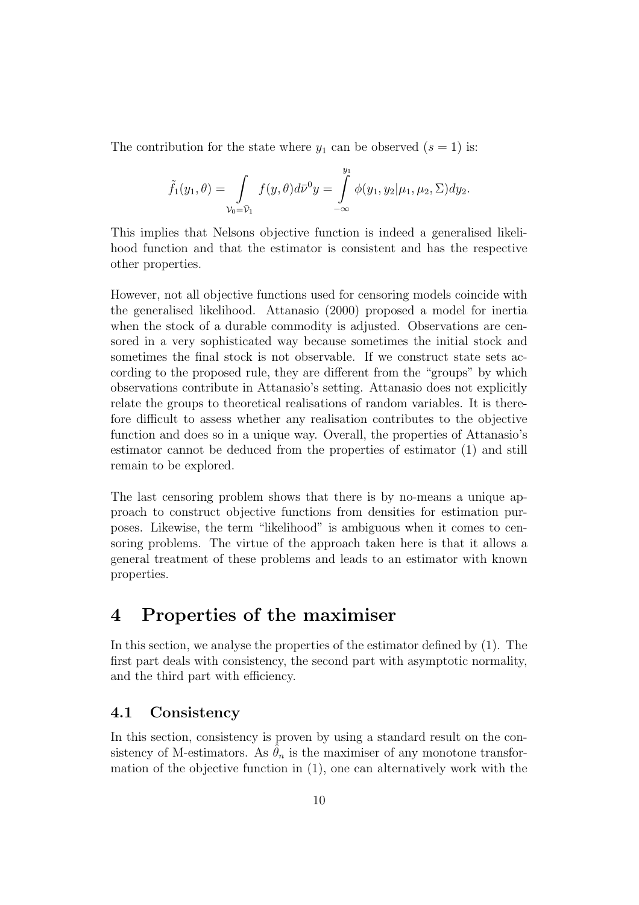The contribution for the state where  $y_1$  can be observed  $(s = 1)$  is:

$$
\tilde{f}_1(y_1,\theta) = \int\limits_{\mathcal{V}_0 = \bar{\mathcal{V}}_1} f(y,\theta) d\bar{\mathcal{V}}^0 y = \int\limits_{-\infty}^{y_1} \phi(y_1,y_2|\mu_1,\mu_2,\Sigma) dy_2.
$$

This implies that Nelsons objective function is indeed a generalised likelihood function and that the estimator is consistent and has the respective other properties.

However, not all objective functions used for censoring models coincide with the generalised likelihood. Attanasio (2000) proposed a model for inertia when the stock of a durable commodity is adjusted. Observations are censored in a very sophisticated way because sometimes the initial stock and sometimes the final stock is not observable. If we construct state sets according to the proposed rule, they are different from the "groups" by which observations contribute in Attanasio's setting. Attanasio does not explicitly relate the groups to theoretical realisations of random variables. It is therefore difficult to assess whether any realisation contributes to the objective function and does so in a unique way. Overall, the properties of Attanasio's estimator cannot be deduced from the properties of estimator (1) and still remain to be explored.

The last censoring problem shows that there is by no-means a unique approach to construct objective functions from densities for estimation purposes. Likewise, the term "likelihood" is ambiguous when it comes to censoring problems. The virtue of the approach taken here is that it allows a general treatment of these problems and leads to an estimator with known properties.

## 4 Properties of the maximiser

In this section, we analyse the properties of the estimator defined by (1). The first part deals with consistency, the second part with asymptotic normality, and the third part with efficiency.

#### 4.1 Consistency

In this section, consistency is proven by using a standard result on the consistency of M-estimators. As  $\hat{\theta}_n$  is the maximiser of any monotone transformation of the objective function in (1), one can alternatively work with the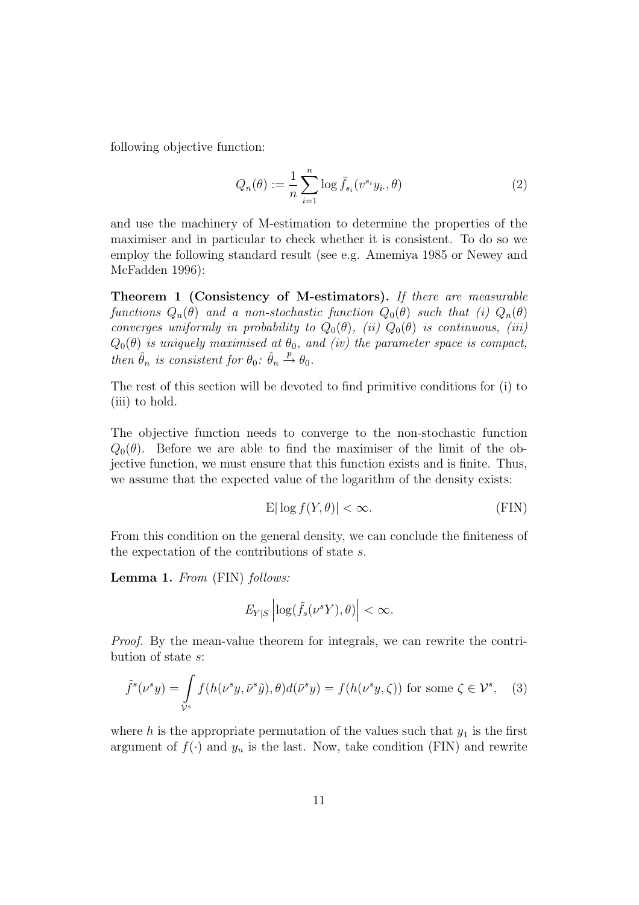following objective function:

$$
Q_n(\theta) := \frac{1}{n} \sum_{i=1}^n \log \tilde{f}_{s_i}(v^{s_i} y_i, \theta)
$$
 (2)

and use the machinery of M-estimation to determine the properties of the maximiser and in particular to check whether it is consistent. To do so we employ the following standard result (see e.g. Amemiya 1985 or Newey and McFadden 1996):

Theorem 1 (Consistency of M-estimators). If there are measurable functions  $Q_n(\theta)$  and a non-stochastic function  $Q_0(\theta)$  such that (i)  $Q_n(\theta)$ converges uniformly in probability to  $Q_0(\theta)$ , (ii)  $Q_0(\theta)$  is continuous, (iii)  $Q_0(\theta)$  is uniquely maximised at  $\theta_0$ , and (iv) the parameter space is compact, then  $\hat{\theta}_n$  is consistent for  $\theta_0$ :  $\hat{\theta}_n \stackrel{p}{\rightarrow} \theta_0$ .

The rest of this section will be devoted to find primitive conditions for (i) to (iii) to hold.

The objective function needs to converge to the non-stochastic function  $Q_0(\theta)$ . Before we are able to find the maximiser of the limit of the objective function, we must ensure that this function exists and is finite. Thus, we assume that the expected value of the logarithm of the density exists:

$$
\mathcal{E}|\log f(Y,\theta)| < \infty. \tag{FIN}
$$

From this condition on the general density, we can conclude the finiteness of the expectation of the contributions of state s.

Lemma 1. From (FIN) follows:

$$
E_{Y|S}\left|\log(\tilde{f}_s(\nu^s Y),\theta)\right|<\infty.
$$

Proof. By the mean-value theorem for integrals, we can rewrite the contribution of state s:

$$
\tilde{f}^s(\nu^s y) = \int_{\mathcal{V}^s} f(h(\nu^s y, \bar{\nu}^s \tilde{y}), \theta) d(\bar{\nu}^s y) = f(h(\nu^s y, \zeta)) \text{ for some } \zeta \in \mathcal{V}^s, \quad (3)
$$

where h is the appropriate permutation of the values such that  $y_1$  is the first argument of  $f(\cdot)$  and  $y_n$  is the last. Now, take condition (FIN) and rewrite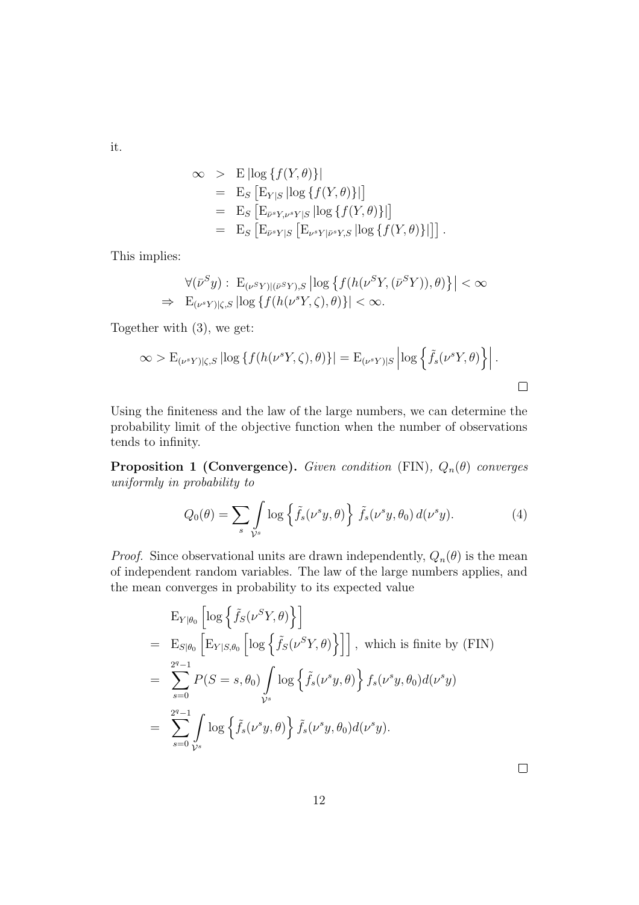it.

$$
\begin{aligned}\n&\infty &\Rightarrow \mathcal{E} \left| \log \{ f(Y, \theta) \} \right| \\
&= \mathcal{E}_S \left[ \mathcal{E}_{Y|S} \left| \log \{ f(Y, \theta) \} \right| \right] \\
&= \mathcal{E}_S \left[ \mathcal{E}_{\bar{\nu}^s Y, \nu^s Y|S} \left| \log \{ f(Y, \theta) \} \right| \right] \\
&= \mathcal{E}_S \left[ \mathcal{E}_{\bar{\nu}^s Y|S} \left[ \mathcal{E}_{\nu^s Y|\bar{\nu}^s Y,S} \left| \log \{ f(Y, \theta) \} \right| \right] \right].\n\end{aligned}
$$

This implies:

$$
\forall (\bar{\nu}^S y) : \mathcal{E}_{(\nu^S Y)|(\bar{\nu}^S Y), S} \left| \log \left\{ f(h(\nu^S Y, (\bar{\nu}^S Y)), \theta) \right\} \right| < \infty
$$
  
\n
$$
\Rightarrow \mathcal{E}_{(\nu^s Y)|\zeta, S} \left| \log \left\{ f(h(\nu^s Y, \zeta), \theta) \right\} \right| < \infty.
$$

Together with (3), we get:

$$
\infty > \mathcal{E}_{(\nu^s Y)|\zeta, S} \left| \log \{ f(h(\nu^s Y, \zeta), \theta) \} \right| = \mathcal{E}_{(\nu^s Y)|S} \left| \log \left\{ \tilde{f}_s(\nu^s Y, \theta) \right\} \right|.
$$

Using the finiteness and the law of the large numbers, we can determine the probability limit of the objective function when the number of observations tends to infinity.

**Proposition 1 (Convergence).** Given condition (FIN),  $Q_n(\theta)$  converges uniformly in probability to

$$
Q_0(\theta) = \sum_s \int_{\mathcal{V}^s} \log \left\{ \tilde{f}_s(\nu^s y, \theta) \right\} \tilde{f}_s(\nu^s y, \theta_0) d(\nu^s y). \tag{4}
$$

*Proof.* Since observational units are drawn independently,  $Q_n(\theta)$  is the mean of independent random variables. The law of the large numbers applies, and the mean converges in probability to its expected value

$$
\begin{split}\n& \mathcal{E}_{Y|\theta_0} \left[ \log \left\{ \tilde{f}_S(\nu^S Y, \theta) \right\} \right] \\
&= \mathcal{E}_{S|\theta_0} \left[ \mathcal{E}_{Y|S,\theta_0} \left[ \log \left\{ \tilde{f}_S(\nu^S Y, \theta) \right\} \right] \right], \text{ which is finite by (FIN)} \\
&= \sum_{s=0}^{2^q-1} P(S=s, \theta_0) \int_{\mathcal{V}^s} \log \left\{ \tilde{f}_s(\nu^s y, \theta) \right\} f_s(\nu^s y, \theta_0) d(\nu^s y) \\
&= \sum_{s=0}^{2^q-1} \int_{\mathcal{V}^s} \log \left\{ \tilde{f}_s(\nu^s y, \theta) \right\} \tilde{f}_s(\nu^s y, \theta_0) d(\nu^s y).\n\end{split}
$$

 $\Box$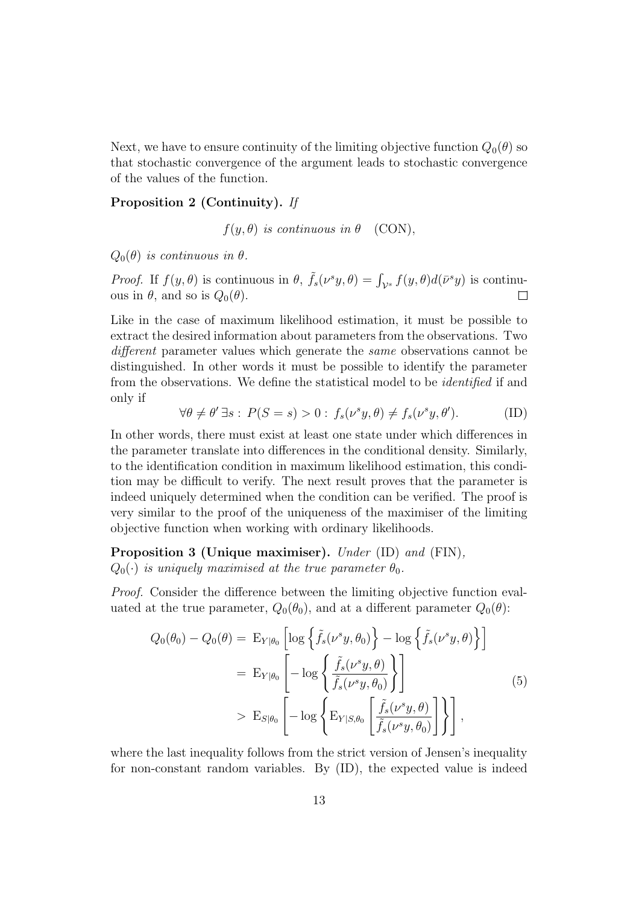Next, we have to ensure continuity of the limiting objective function  $Q_0(\theta)$  so that stochastic convergence of the argument leads to stochastic convergence of the values of the function.

#### Proposition 2 (Continuity). If

 $f(y, \theta)$  is continuous in  $\theta$  (CON),

 $Q_0(\theta)$  is continuous in  $\theta$ .

Proof. If  $f(y, \theta)$  is continuous in  $\theta$ ,  $\tilde{f}_s(\nu^s y, \theta) = \int_{\mathcal{V}^s} f(y, \theta) d(\bar{\nu}^s y)$  is continuous in  $\theta$ , and so is  $Q_0(\theta)$ .  $\Box$ 

Like in the case of maximum likelihood estimation, it must be possible to extract the desired information about parameters from the observations. Two different parameter values which generate the same observations cannot be distinguished. In other words it must be possible to identify the parameter from the observations. We define the statistical model to be identified if and only if

$$
\forall \theta \neq \theta' \exists s: P(S = s) > 0: f_s(\nu^s y, \theta) \neq f_s(\nu^s y, \theta').
$$
 (ID)

In other words, there must exist at least one state under which differences in the parameter translate into differences in the conditional density. Similarly, to the identification condition in maximum likelihood estimation, this condition may be difficult to verify. The next result proves that the parameter is indeed uniquely determined when the condition can be verified. The proof is very similar to the proof of the uniqueness of the maximiser of the limiting objective function when working with ordinary likelihoods.

Proposition 3 (Unique maximiser). Under (ID) and (FIN),  $Q_0(\cdot)$  is uniquely maximised at the true parameter  $\theta_0$ .

Proof. Consider the difference between the limiting objective function evaluated at the true parameter,  $Q_0(\theta_0)$ , and at a different parameter  $Q_0(\theta)$ :

$$
Q_0(\theta_0) - Q_0(\theta) = \mathcal{E}_{Y|\theta_0} \left[ \log \left\{ \tilde{f}_s(\nu^s y, \theta_0) \right\} - \log \left\{ \tilde{f}_s(\nu^s y, \theta) \right\} \right]
$$
  

$$
= \mathcal{E}_{Y|\theta_0} \left[ -\log \left\{ \frac{\tilde{f}_s(\nu^s y, \theta)}{\tilde{f}_s(\nu^s y, \theta_0)} \right\} \right]
$$
  

$$
> \mathcal{E}_{S|\theta_0} \left[ -\log \left\{ \mathcal{E}_{Y|S,\theta_0} \left[ \frac{\tilde{f}_s(\nu^s y, \theta)}{\tilde{f}_s(\nu^s y, \theta_0)} \right] \right\} \right],
$$
 (5)

where the last inequality follows from the strict version of Jensen's inequality for non-constant random variables. By (ID), the expected value is indeed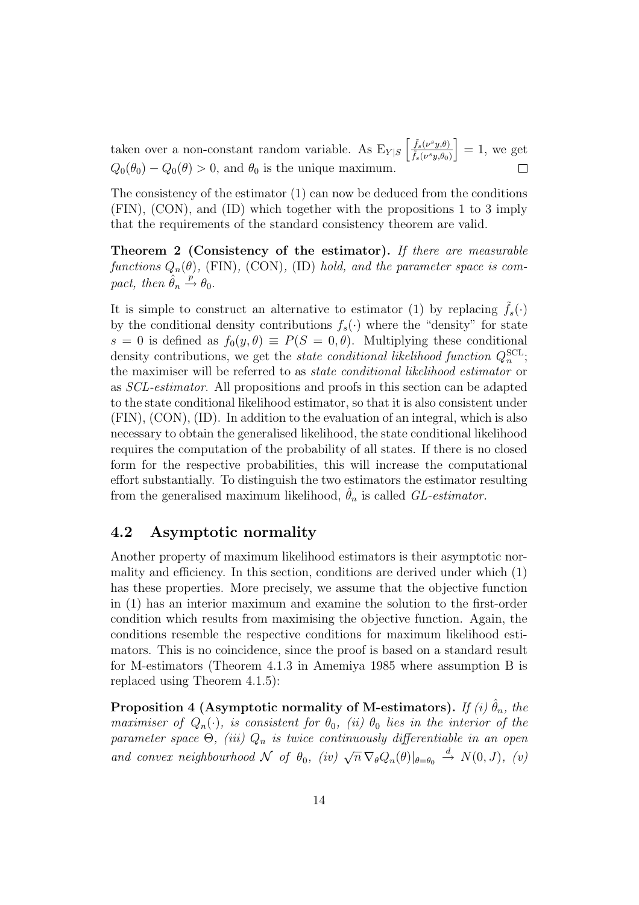taken over a non-constant random variable. As  $E_{Y|S} \left[ \frac{\tilde{f}_s(\nu^s y, \theta)}{\tilde{f}_s(\nu^s y, \theta_0)} \right]$  $= 1$ , we get  $\tilde{f}_s(\nu^sy,\theta_0)$  $Q_0(\theta_0) - Q_0(\theta) > 0$ , and  $\theta_0$  is the unique maximum.  $\Box$ 

The consistency of the estimator (1) can now be deduced from the conditions (FIN), (CON), and (ID) which together with the propositions 1 to 3 imply that the requirements of the standard consistency theorem are valid.

Theorem 2 (Consistency of the estimator). If there are measurable functions  $Q_n(\theta)$ , (FIN), (CON), (ID) hold, and the parameter space is compact, then  $\hat{\theta}_n \stackrel{p}{\rightarrow} \theta_0$ .

It is simple to construct an alternative to estimator (1) by replacing  $\tilde{f}_s(\cdot)$ by the conditional density contributions  $f_s(\cdot)$  where the "density" for state s = 0 is defined as  $f_0(y, \theta) \equiv P(S = 0, \theta)$ . Multiplying these conditional density contributions, we get the *state conditional likelihood function*  $Q_n^{\text{SCL}}$ ; the maximiser will be referred to as state conditional likelihood estimator or as SCL-estimator. All propositions and proofs in this section can be adapted to the state conditional likelihood estimator, so that it is also consistent under (FIN), (CON), (ID). In addition to the evaluation of an integral, which is also necessary to obtain the generalised likelihood, the state conditional likelihood requires the computation of the probability of all states. If there is no closed form for the respective probabilities, this will increase the computational effort substantially. To distinguish the two estimators the estimator resulting from the generalised maximum likelihood,  $\hat{\theta}_n$  is called *GL-estimator*.

#### 4.2 Asymptotic normality

Another property of maximum likelihood estimators is their asymptotic normality and efficiency. In this section, conditions are derived under which (1) has these properties. More precisely, we assume that the objective function in (1) has an interior maximum and examine the solution to the first-order condition which results from maximising the objective function. Again, the conditions resemble the respective conditions for maximum likelihood estimators. This is no coincidence, since the proof is based on a standard result for M-estimators (Theorem 4.1.3 in Amemiya 1985 where assumption B is replaced using Theorem 4.1.5):

Proposition 4 (Asymptotic normality of M-estimators). If (i)  $\hat{\theta}_n$ , the maximiser of  $Q_n(\cdot)$ , is consistent for  $\theta_0$ , (ii)  $\theta_0$  lies in the interior of the parameter space  $\Theta$ , (iii)  $Q_n$  is twice continuously differentiable in an open and convex neighbourhood  $\mathcal N$  of  $\theta_0$ , (iv)  $\sqrt{n} \nabla_{\theta} Q_n(\theta)|_{\theta=\theta_0} \stackrel{d}{\rightarrow} N(0, J)$ , (v)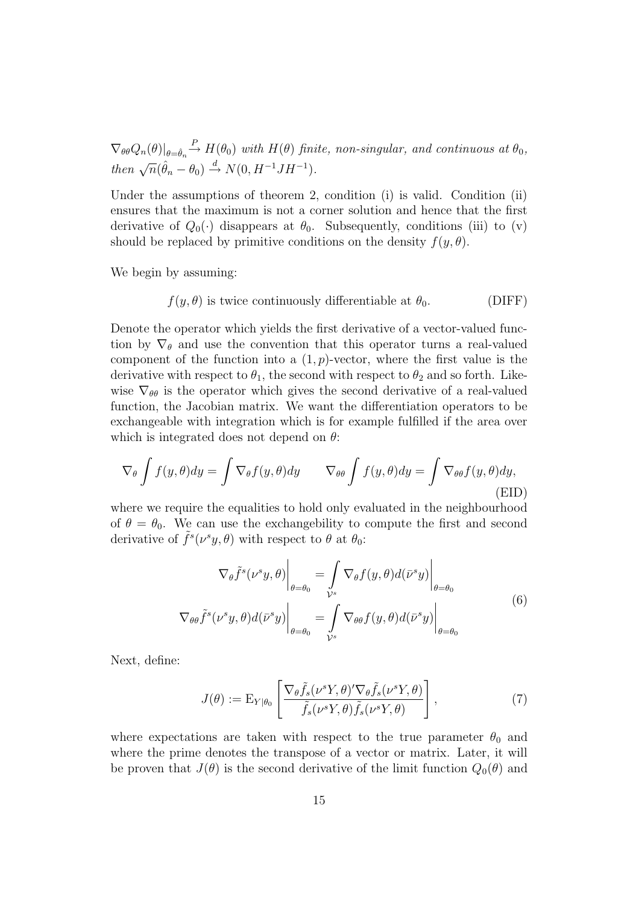$\nabla_{\theta\theta}Q_n(\theta)|_{\theta=\hat{\theta}_n} \stackrel{P}{\rightarrow} H(\theta_0)$  with  $H(\theta)$  finite, non-singular, and continuous at  $\theta_0$ , then  $\sqrt{n}(\hat{\theta}_n - \theta_0) \stackrel{d}{\rightarrow} N(0, H^{-1}JH^{-1}).$ 

Under the assumptions of theorem 2, condition (i) is valid. Condition (ii) ensures that the maximum is not a corner solution and hence that the first derivative of  $Q_0(\cdot)$  disappears at  $\theta_0$ . Subsequently, conditions (iii) to (v) should be replaced by primitive conditions on the density  $f(y, \theta)$ .

We begin by assuming:

$$
f(y, \theta)
$$
 is twice continuously differentiable at  $\theta_0$ . (DIFF)

Denote the operator which yields the first derivative of a vector-valued function by  $\nabla_{\theta}$  and use the convention that this operator turns a real-valued component of the function into a  $(1, p)$ -vector, where the first value is the derivative with respect to  $\theta_1$ , the second with respect to  $\theta_2$  and so forth. Likewise  $\nabla_{\theta\theta}$  is the operator which gives the second derivative of a real-valued function, the Jacobian matrix. We want the differentiation operators to be exchangeable with integration which is for example fulfilled if the area over which is integrated does not depend on  $\theta$ :

$$
\nabla_{\theta} \int f(y, \theta) dy = \int \nabla_{\theta} f(y, \theta) dy \qquad \nabla_{\theta} \int f(y, \theta) dy = \int \nabla_{\theta} f(y, \theta) dy,
$$
\n(ELD)

where we require the equalities to hold only evaluated in the neighbourhood of  $\theta = \theta_0$ . We can use the exchangebility to compute the first and second derivative of  $\tilde{f}^s(\nu^s y, \theta)$  with respect to  $\theta$  at  $\theta_0$ :

$$
\nabla_{\theta} \tilde{f}^{s}(\nu^{s} y, \theta) \Big|_{\theta = \theta_{0}} = \int_{\mathcal{V}^{s}} \nabla_{\theta} f(y, \theta) d(\bar{\nu}^{s} y) \Big|_{\theta = \theta_{0}}
$$
  

$$
\nabla_{\theta} \tilde{f}^{s}(\nu^{s} y, \theta) d(\bar{\nu}^{s} y) \Big|_{\theta = \theta_{0}} = \int_{\mathcal{V}^{s}} \nabla_{\theta} f(y, \theta) d(\bar{\nu}^{s} y) \Big|_{\theta = \theta_{0}}
$$
  
(6)

Next, define:

$$
J(\theta) := \mathcal{E}_{Y|\theta_0} \left[ \frac{\nabla_{\theta} \tilde{f}_s(\nu^s Y, \theta)' \nabla_{\theta} \tilde{f}_s(\nu^s Y, \theta)}{\tilde{f}_s(\nu^s Y, \theta) \tilde{f}_s(\nu^s Y, \theta)} \right],
$$
(7)

where expectations are taken with respect to the true parameter  $\theta_0$  and where the prime denotes the transpose of a vector or matrix. Later, it will be proven that  $J(\theta)$  is the second derivative of the limit function  $Q_0(\theta)$  and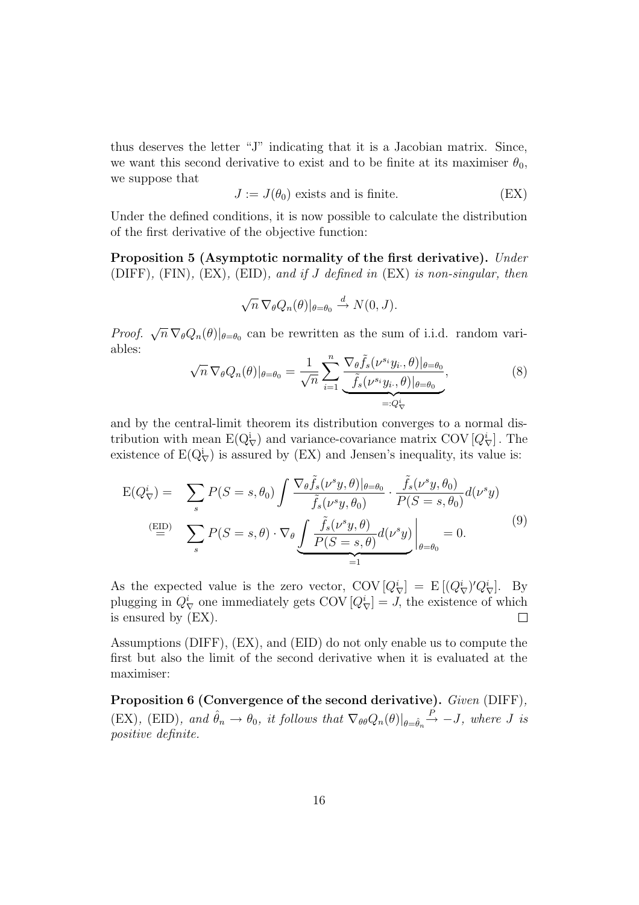thus deserves the letter "J" indicating that it is a Jacobian matrix. Since, we want this second derivative to exist and to be finite at its maximiser  $\theta_0$ , we suppose that

$$
J := J(\theta_0) \text{ exists and is finite.} \tag{EX}
$$

Under the defined conditions, it is now possible to calculate the distribution of the first derivative of the objective function:

Proposition 5 (Asymptotic normality of the first derivative). Under (DIFF),  $(FIN)$ ,  $(EX)$ ,  $(EID)$ , and if J defined in  $(EX)$  is non-singular, then

$$
\sqrt{n} \nabla_{\theta} Q_n(\theta) |_{\theta = \theta_0} \stackrel{d}{\rightarrow} N(0, J).
$$

*Proof.*  $\sqrt{n} \nabla_{\theta} Q_n(\theta) |_{\theta=\theta_0}$  can be rewritten as the sum of i.i.d. random variables:

$$
\sqrt{n} \nabla_{\theta} Q_n(\theta) |_{\theta = \theta_0} = \frac{1}{\sqrt{n}} \sum_{i=1}^n \underbrace{\frac{\nabla_{\theta} \tilde{f}_s(\nu^{s_i} y_i, \theta) |_{\theta = \theta_0}}{\tilde{f}_s(\nu^{s_i} y_i, \theta) |_{\theta = \theta_0}}}_{=: Q_{\nabla}^i},
$$
\n(8)

and by the central-limit theorem its distribution converges to a normal distribution with mean  $E(Q_{\nabla}^i)$  and variance-covariance matrix COV  $[Q_{\nabla}^i]$ . The existence of  $E(Q_{\nabla}^i)$  is assured by (EX) and Jensen's inequality, its value is:

$$
E(Q_{\nabla}^{i}) = \sum_{s} P(S = s, \theta_{0}) \int \frac{\nabla_{\theta} \tilde{f}_{s}(\nu^{s} y, \theta)|_{\theta = \theta_{0}}}{\tilde{f}_{s}(\nu^{s} y, \theta_{0})} \cdot \frac{\tilde{f}_{s}(\nu^{s} y, \theta_{0})}{P(S = s, \theta_{0})} d(\nu^{s} y)
$$
\n
$$
\stackrel{\text{(EID)}}{=} \sum_{s} P(S = s, \theta) \cdot \nabla_{\theta} \underbrace{\int \frac{\tilde{f}_{s}(\nu^{s} y, \theta)}{P(S = s, \theta)} d(\nu^{s} y)}_{=1} \bigg|_{\theta = \theta_{0}} = 0. \tag{9}
$$

As the expected value is the zero vector,  $\text{COV}[Q^i_{\nabla}] = \text{E}[(Q^i_{\nabla})'Q^i_{\nabla}]$ . By plugging in  $Q_{\nabla}^{i}$  one immediately gets COV  $[Q_{\nabla}^{i}] = J$ , the existence of which is ensured by (EX).

Assumptions (DIFF), (EX), and (EID) do not only enable us to compute the first but also the limit of the second derivative when it is evaluated at the maximiser:

Proposition 6 (Convergence of the second derivative). Given (DIFF),  $(EX)$ ,  $(EID)$ , and  $\hat{\theta}_n \to \theta_0$ , it follows that  $\nabla_{\theta\theta} Q_n(\theta)|_{\theta=\hat{\theta}_n} \stackrel{P}{\to} -J$ , where J is positive definite.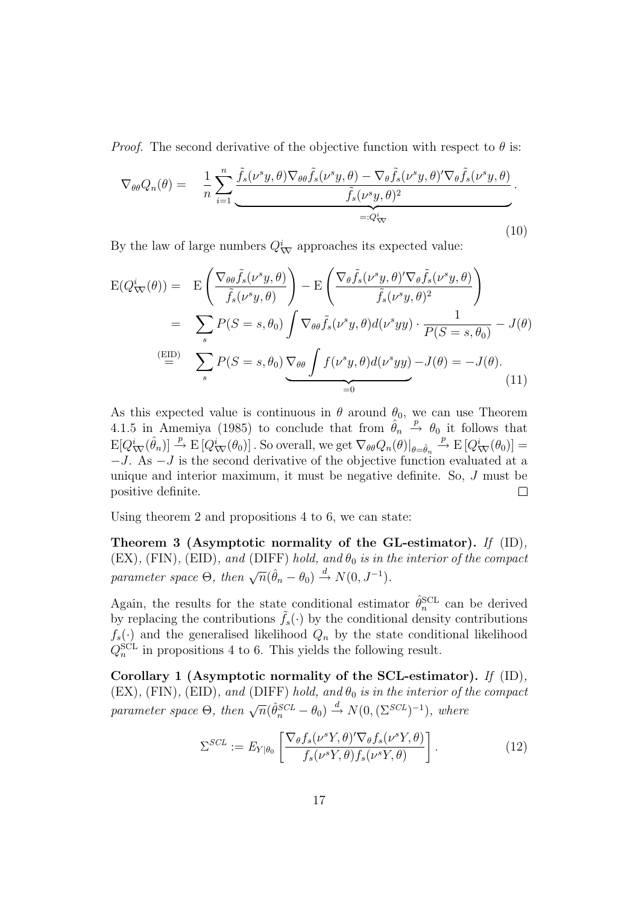*Proof.* The second derivative of the objective function with respect to  $\theta$  is:

$$
\nabla_{\theta\theta}Q_n(\theta) = \frac{1}{n}\sum_{i=1}^n \underbrace{\tilde{f}_s(\nu^s y, \theta)\nabla_{\theta\theta}\tilde{f}_s(\nu^s y, \theta) - \nabla_{\theta}\tilde{f}_s(\nu^s y, \theta)'\nabla_{\theta}\tilde{f}_s(\nu^s y, \theta)}_{=:Q^i_{\nabla\theta}}.
$$
\n(10)

By the law of large numbers  $Q^i_{\nabla}$  approaches its expected value:

$$
E(Q_{\nabla}^{i}(\theta)) = E\left(\frac{\nabla_{\theta\theta}\tilde{f}_{s}(\nu^{s}y,\theta)}{\tilde{f}_{s}(\nu^{s}y,\theta)}\right) - E\left(\frac{\nabla_{\theta}\tilde{f}_{s}(\nu^{s}y,\theta)'\nabla_{\theta}\tilde{f}_{s}(\nu^{s}y,\theta)}{\tilde{f}_{s}(\nu^{s}y,\theta)^{2}}\right)
$$
  
\n
$$
= \sum_{s} P(S = s, \theta_{0}) \int \nabla_{\theta\theta}\tilde{f}_{s}(\nu^{s}y,\theta)d(\nu^{s}yy) \cdot \frac{1}{P(S = s, \theta_{0})} - J(\theta)
$$
  
\n
$$
\stackrel{\text{(EID)}}{=} \sum_{s} P(S = s, \theta_{0}) \underbrace{\nabla_{\theta\theta} \int f(\nu^{s}y,\theta)d(\nu^{s}yy)}_{=0} - J(\theta) = -J(\theta).
$$
\n(11)

As this expected value is continuous in  $\theta$  around  $\theta_0$ , we can use Theorem 4.1.5 in Amemiya (1985) to conclude that from  $\hat{\theta}_n \stackrel{p}{\rightarrow} \theta_0$  it follows that  $\mathbb{E}[Q^i_{\nabla}(\hat{\theta}_n)] \stackrel{p}{\rightarrow} \mathbb{E}[Q^i_{\nabla}(\theta_0)].$  So overall, we get  $\nabla_{\theta\theta}Q_n(\theta)|_{\theta=\hat{\theta}_n}$  $\stackrel{p}{\rightarrow}$  E  $[Q^i_{\nabla}(\theta_0)] =$  $-J.$  As  $-J$  is the second derivative of the objective function evaluated at a unique and interior maximum, it must be negative definite. So, J must be positive definite.  $\Box$ 

Using theorem 2 and propositions 4 to 6, we can state:

Theorem 3 (Asymptotic normality of the GL-estimator). If (ID),  $(EX)$ ,  $(FIN)$ ,  $(EID)$ , and  $(DIFF)$  hold, and  $\theta_0$  is in the interior of the compact parameter space  $\Theta$ , then  $\sqrt{n}(\hat{\theta}_n - \theta_0) \stackrel{d}{\rightarrow} N(0, J^{-1})$ .

Again, the results for the state conditional estimator  $\hat{\theta}_n^{\text{SCL}}$  can be derived by replacing the contributions  $\hat{f}_s(\cdot)$  by the conditional density contributions  $f_s(\cdot)$  and the generalised likelihood  $Q_n$  by the state conditional likelihood  $Q_n^{\text{SCL}}$  in propositions 4 to 6. This yields the following result.

Corollary 1 (Asymptotic normality of the SCL-estimator). If (ID),  $(EX)$ ,  $(FIN)$ ,  $(EID)$ , and  $(DIFF) hold$ , and  $\theta_0$  is in the interior of the compact parameter space  $\Theta$ , then  $\sqrt{n}(\hat{\theta}_n^{SCL} - \theta_0) \stackrel{d}{\rightarrow} N(0, (\Sigma^{SCL})^{-1})$ , where

$$
\Sigma^{SCL} := E_{Y|\theta_0} \left[ \frac{\nabla_{\theta} f_s(\nu^s Y, \theta)' \nabla_{\theta} f_s(\nu^s Y, \theta)}{f_s(\nu^s Y, \theta) f_s(\nu^s Y, \theta)} \right]. \tag{12}
$$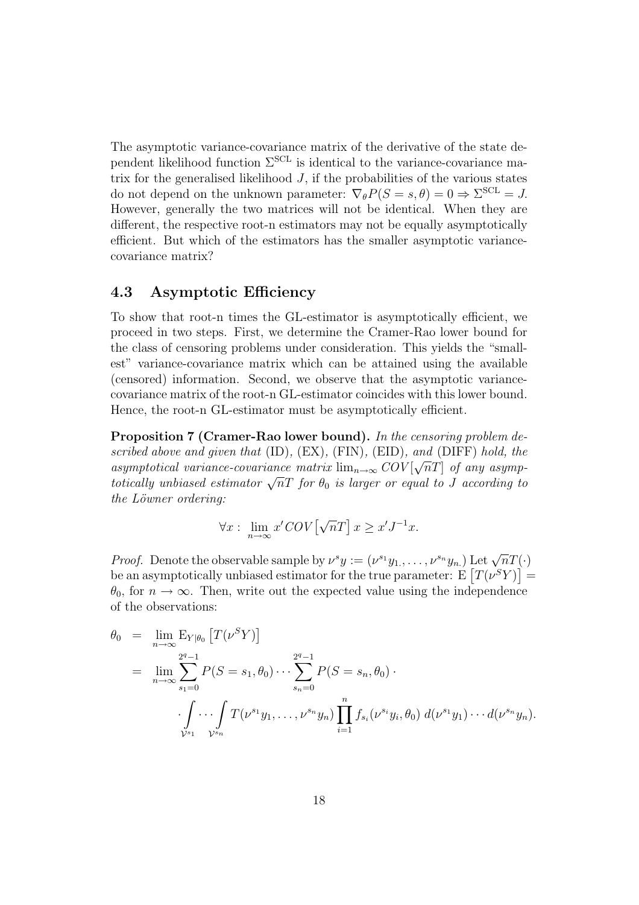The asymptotic variance-covariance matrix of the derivative of the state dependent likelihood function  $\Sigma^{\text{SCL}}$  is identical to the variance-covariance matrix for the generalised likelihood  $J$ , if the probabilities of the various states do not depend on the unknown parameter:  $\nabla_{\theta} P(S = s, \theta) = 0 \Rightarrow \Sigma^{\text{SCL}} = J$ . However, generally the two matrices will not be identical. When they are different, the respective root-n estimators may not be equally asymptotically efficient. But which of the estimators has the smaller asymptotic variancecovariance matrix?

#### 4.3 Asymptotic Efficiency

To show that root-n times the GL-estimator is asymptotically efficient, we proceed in two steps. First, we determine the Cramer-Rao lower bound for the class of censoring problems under consideration. This yields the "smallest" variance-covariance matrix which can be attained using the available (censored) information. Second, we observe that the asymptotic variancecovariance matrix of the root-n GL-estimator coincides with this lower bound. Hence, the root-n GL-estimator must be asymptotically efficient.

**Proposition 7 (Cramer-Rao lower bound).** In the censoring problem described above and given that (ID), (EX), (FIN), (EID), and (DIFF) hold, the asymptotical variance-covariance matrix  $\lim_{n\to\infty} COV[\sqrt{n}T]$  of any asymptotically unbiased estimator  $\sqrt{n}T$  for  $\theta_0$  is larger or equal to  $\overline{J}$  according to the Löwner ordering:

$$
\forall x: \lim_{n \to \infty} x' \, \mathcal{COV} \left[ \sqrt{n} T \right] x \geq x' J^{-1} x.
$$

*Proof.* Denote the observable sample by  $\nu^s y := (\nu^{s_1} y_1, \dots, \nu^{s_n} y_n)$  Let  $\sqrt{n} T(\cdot)$ be an asymptotically unbiased estimator for the true parameter:  $E[T(\nu^SY)] =$  $\theta_0$ , for  $n \to \infty$ . Then, write out the expected value using the independence of the observations:

$$
\theta_0 = \lim_{n \to \infty} \mathbb{E}_{Y|\theta_0} \left[ T(\nu^S Y) \right]
$$
  
\n
$$
= \lim_{n \to \infty} \sum_{s_1=0}^{2^q - 1} P(S = s_1, \theta_0) \cdots \sum_{s_n=0}^{2^q - 1} P(S = s_n, \theta_0) .
$$
  
\n
$$
\cdot \int_{\mathcal{V}^{s_1}} \cdots \int_{\mathcal{V}^{s_n}} T(\nu^{s_1} y_1, \ldots, \nu^{s_n} y_n) \prod_{i=1}^n f_{s_i}(\nu^{s_i} y_i, \theta_0) d(\nu^{s_1} y_1) \cdots d(\nu^{s_n} y_n).
$$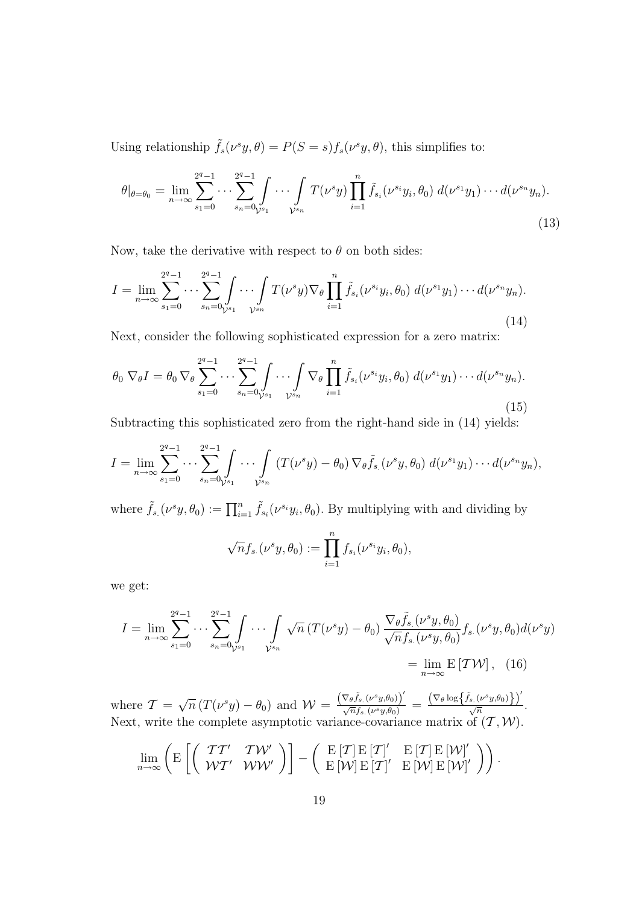Using relationship  $\tilde{f}_s(\nu^s y, \theta) = P(S = s) f_s(\nu^s y, \theta)$ , this simplifies to:

$$
\theta|_{\theta=\theta_0} = \lim_{n \to \infty} \sum_{s_1=0}^{2^q-1} \cdots \sum_{s_n=0}^{2^q-1} \int_{y_{s_1}} \cdots \int_{y_{s_n}} T(\nu^s y) \prod_{i=1}^n \tilde{f}_{s_i}(\nu^{s_i} y_i, \theta_0) d(\nu^{s_1} y_1) \cdots d(\nu^{s_n} y_n).
$$
\n(13)

Now, take the derivative with respect to  $\theta$  on both sides:

$$
I = \lim_{n \to \infty} \sum_{s_1=0}^{2^q-1} \cdots \sum_{s_n=0}^{2^q-1} \int_{\mathcal{V}^{s_1}} \cdots \int_{\mathcal{V}^{s_n}} T(\nu^s y) \nabla_{\theta} \prod_{i=1}^n \tilde{f}_{s_i}(\nu^{s_i} y_i, \theta_0) d(\nu^{s_1} y_1) \cdots d(\nu^{s_n} y_n).
$$
\n(14)

Next, consider the following sophisticated expression for a zero matrix:

$$
\theta_0 \nabla_{\theta} I = \theta_0 \nabla_{\theta} \sum_{s_1=0}^{2^q-1} \cdots \sum_{s_n=0}^{2^q-1} \int_{y_{s_1}} \cdots \int_{y_{s_n}} \nabla_{\theta} \prod_{i=1}^n \tilde{f}_{s_i}(\nu^{s_i} y_i, \theta_0) d(\nu^{s_1} y_1) \cdots d(\nu^{s_n} y_n).
$$
\n(15)

Subtracting this sophisticated zero from the right-hand side in (14) yields:

$$
I = \lim_{n \to \infty} \sum_{s_1=0}^{2^q-1} \cdots \sum_{s_n=0}^{2^q-1} \int \cdots \int \limits_{\mathcal{V}^{s_n}} \left( T(\nu^s y) - \theta_0 \right) \nabla_{\theta} \tilde{f}_{s.}(\nu^s y, \theta_0) d(\nu^{s_1} y_1) \cdots d(\nu^{s_n} y_n),
$$

where  $\tilde{f}_s(\nu^s y, \theta_0) := \prod_{i=1}^n \tilde{f}_{s_i}(\nu^{s_i} y_i, \theta_0)$ . By multiplying with and dividing by

$$
\sqrt{n}f_{s.}(\nu^s y,\theta_0) := \prod_{i=1}^n f_{s_i}(\nu^{s_i} y_i,\theta_0),
$$

we get:

$$
I = \lim_{n \to \infty} \sum_{s_1=0}^{2^q - 1} \cdots \sum_{s_n=0}^{2^q - 1} \int_{y_{s_1}} \cdots \int_{y_{s_n}} \sqrt{n} \left( T(\nu^s y) - \theta_0 \right) \frac{\nabla_{\theta} \tilde{f}_{s.}(\nu^s y, \theta_0)}{\sqrt{n} f_{s.}(\nu^s y, \theta_0)} f_{s.}(\nu^s y, \theta_0) d(\nu^s y)
$$
  
= 
$$
\lim_{n \to \infty} \mathbb{E} \left[ T \mathcal{W} \right], \quad (16)
$$

where  $\mathcal{T} = \sqrt{n} \left( T(\nu^s y) - \theta_0 \right)$  and  $\mathcal{W} = \frac{\left( \nabla_{\theta} \tilde{f}_{s.}(\nu^s y, \theta_0) \right)^{\prime}}{\sqrt{n} f_{s.}(\nu^s y, \theta_0)}$  $\frac{\left(\nabla_\theta \widetilde{f}_{s.}(\nu^s y,\theta_0)\right)'}{\sqrt{n}f_{s.}(\nu^s y,\theta_0)}\,=\,\frac{\left(\nabla_\theta \log\!\left\{\widetilde{f}_{s.}(\nu^s y,\theta_0)\right\}\right)'}{\sqrt{n}}\,$  $rac{\sqrt{n}}{\sqrt{n}}$ . Next, write the complete asymptotic variance-covariance matrix of  $(\mathcal{T}, \mathcal{W})$ .

$$
\lim_{n\to\infty}\left(\mathrm{E}\left[\left(\begin{array}{cc} \mathcal{T}\mathcal{T}' & \mathcal{T}\mathcal{W}' \\ \mathcal{W}\mathcal{T}' & \mathcal{W}\mathcal{W}' \end{array}\right)\right] - \left(\begin{array}{cc} \mathrm{E}\left[\mathcal{T}\right]\mathrm{E}\left[\mathcal{T}\right]' & \mathrm{E}\left[\mathcal{T}\right]\mathrm{E}\left[\mathcal{W}\right]'\\\mathrm{E}\left[\mathcal{W}\right]\mathrm{E}\left[\mathcal{T}\right]' & \mathrm{E}\left[\mathcal{W}\right]\mathrm{E}\left[\mathcal{W}\right]'\end{array}\right)\right).
$$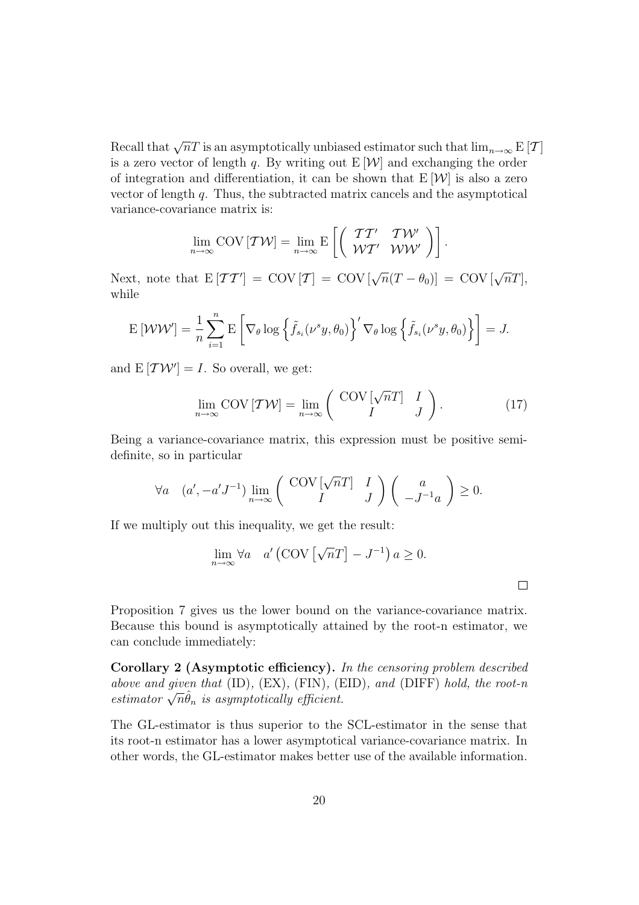Recall that  $\sqrt{n}T$  is an asymptotically unbiased estimator such that  $\lim_{n\to\infty}$  E [T] is a zero vector of length q. By writing out  $E[W]$  and exchanging the order of integration and differentiation, it can be shown that  $E[W]$  is also a zero vector of length q. Thus, the subtracted matrix cancels and the asymptotical variance-covariance matrix is:

$$
\lim_{n\to\infty} \text{COV} \left[ \mathcal{TW} \right] = \lim_{n\to\infty} \text{E}\left[ \left( \begin{array}{cc} \mathcal{T}\mathcal{T}' & \mathcal{T}\mathcal{W}' \\ \mathcal{W}\mathcal{T}' & \mathcal{W}\mathcal{W}' \end{array} \right) \right].
$$

Next, note that  $E[TT'] = \text{COV}[T] = \text{COV}[\sqrt{n}(T - \theta_0)] = \text{COV}[\sqrt{n}T],$ while

$$
\mathrm{E} \left[ \mathcal{W} \mathcal{W}' \right] = \frac{1}{n} \sum_{i=1}^{n} \mathrm{E} \left[ \nabla_{\theta} \log \left\{ \tilde{f}_{s_i}(\nu^s y, \theta_0) \right\}' \nabla_{\theta} \log \left\{ \tilde{f}_{s_i}(\nu^s y, \theta_0) \right\} \right] = J.
$$

and  $E[TW'] = I$ . So overall, we get:

$$
\lim_{n \to \infty} \text{COV} \left[ \mathcal{T} \mathcal{W} \right] = \lim_{n \to \infty} \left( \begin{array}{cc} \text{COV} \left[ \sqrt{n} T \right] & I \\ I & J \end{array} \right). \tag{17}
$$

Being a variance-covariance matrix, this expression must be positive semidefinite, so in particular

$$
\forall a \quad (a', -a'J^{-1}) \lim_{n \to \infty} \left( \begin{array}{cc} \mathrm{COV} \left[ \sqrt{n}T \right] & I \\ I & J \end{array} \right) \left( \begin{array}{c} a \\ -J^{-1}a \end{array} \right) \ge 0.
$$

If we multiply out this inequality, we get the result:

$$
\lim_{n \to \infty} \forall a \quad a' \left( \text{COV} \left[ \sqrt{n} T \right] - J^{-1} \right) a \ge 0.
$$

 $\Box$ 

Proposition 7 gives us the lower bound on the variance-covariance matrix. Because this bound is asymptotically attained by the root-n estimator, we can conclude immediately:

Corollary 2 (Asymptotic efficiency). In the censoring problem described above and given that (ID), (EX), (FIN), (EID), and (DIFF) hold, the root-n estimator  $\sqrt{n}\hat{\theta}_n$  is asymptotically efficient.

The GL-estimator is thus superior to the SCL-estimator in the sense that its root-n estimator has a lower asymptotical variance-covariance matrix. In other words, the GL-estimator makes better use of the available information.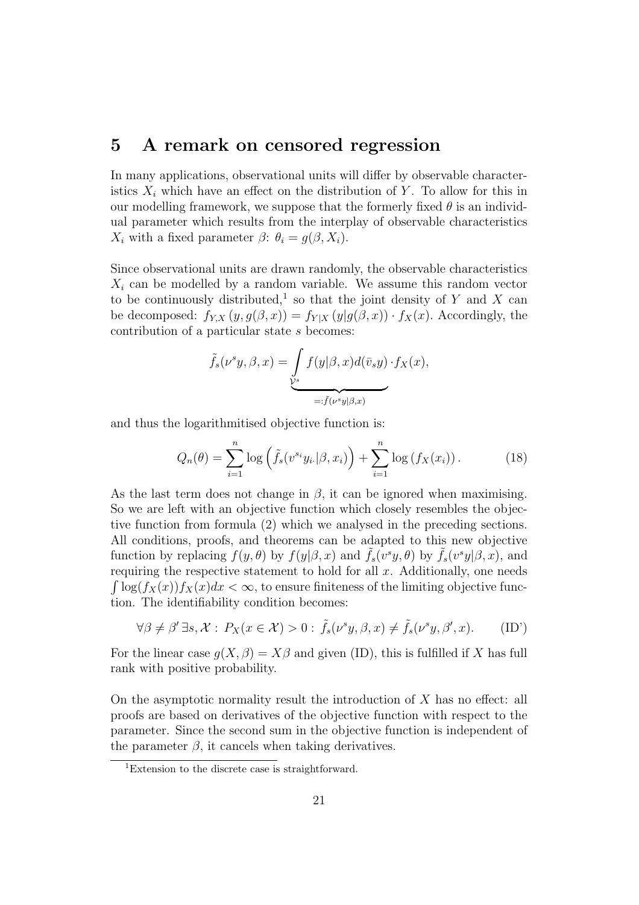### 5 A remark on censored regression

In many applications, observational units will differ by observable characteristics  $X_i$  which have an effect on the distribution of Y. To allow for this in our modelling framework, we suppose that the formerly fixed  $\theta$  is an individual parameter which results from the interplay of observable characteristics  $X_i$  with a fixed parameter  $\beta$ :  $\theta_i = g(\beta, X_i)$ .

Since observational units are drawn randomly, the observable characteristics  $X_i$  can be modelled by a random variable. We assume this random vector to be continuously distributed,<sup>1</sup> so that the joint density of Y and X can be decomposed:  $f_{Y,X}(y,g(\beta, x)) = f_{Y|X}(y|g(\beta, x)) \cdot f_X(x)$ . Accordingly, the contribution of a particular state s becomes:

$$
\tilde{f}_s(\nu^s y, \beta, x) = \underbrace{\int_{\mathcal{V}^s} f(y|\beta, x) d(\bar{v}_s y) \cdot f_X(x)}_{=: \tilde{f}(\nu^s y | \beta, x)},
$$

and thus the logarithmitised objective function is:

$$
Q_n(\theta) = \sum_{i=1}^n \log \left( \tilde{f}_s(v^{s_i} y_i | \beta, x_i) \right) + \sum_{i=1}^n \log \left( f_X(x_i) \right). \tag{18}
$$

As the last term does not change in  $\beta$ , it can be ignored when maximising. So we are left with an objective function which closely resembles the objective function from formula (2) which we analysed in the preceding sections. All conditions, proofs, and theorems can be adapted to this new objective function by replacing  $f(y, \theta)$  by  $f(y|\beta, x)$  and  $\tilde{f}_s(v^s y, \theta)$  by  $\tilde{f}_s(v^s y|\beta, x)$ , and requiring the respective statement to hold for all  $x$ . Additionally, one needs  $\int \log(f_X(x))f_X(x)dx < \infty$ , to ensure finiteness of the limiting objective function. The identifiability condition becomes:

$$
\forall \beta \neq \beta' \exists s, \mathcal{X} : P_X(x \in \mathcal{X}) > 0 : \tilde{f}_s(\nu^s y, \beta, x) \neq \tilde{f}_s(\nu^s y, \beta', x). \tag{ID'}
$$

For the linear case  $q(X, \beta) = X\beta$  and given (ID), this is fulfilled if X has full rank with positive probability.

On the asymptotic normality result the introduction of  $X$  has no effect: all proofs are based on derivatives of the objective function with respect to the parameter. Since the second sum in the objective function is independent of the parameter  $\beta$ , it cancels when taking derivatives.

<sup>1</sup>Extension to the discrete case is straightforward.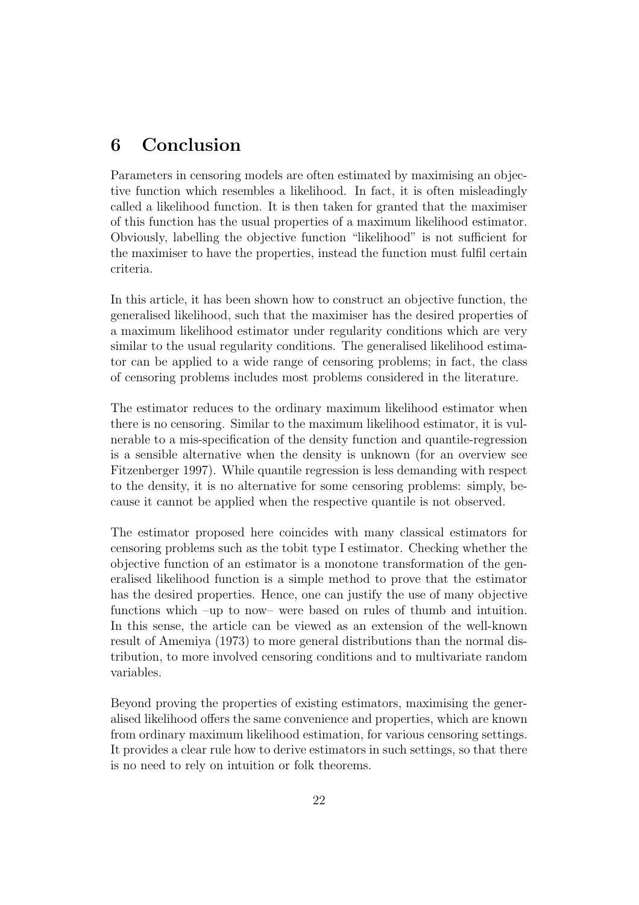## 6 Conclusion

Parameters in censoring models are often estimated by maximising an objective function which resembles a likelihood. In fact, it is often misleadingly called a likelihood function. It is then taken for granted that the maximiser of this function has the usual properties of a maximum likelihood estimator. Obviously, labelling the objective function "likelihood" is not sufficient for the maximiser to have the properties, instead the function must fulfil certain criteria.

In this article, it has been shown how to construct an objective function, the generalised likelihood, such that the maximiser has the desired properties of a maximum likelihood estimator under regularity conditions which are very similar to the usual regularity conditions. The generalised likelihood estimator can be applied to a wide range of censoring problems; in fact, the class of censoring problems includes most problems considered in the literature.

The estimator reduces to the ordinary maximum likelihood estimator when there is no censoring. Similar to the maximum likelihood estimator, it is vulnerable to a mis-specification of the density function and quantile-regression is a sensible alternative when the density is unknown (for an overview see Fitzenberger 1997). While quantile regression is less demanding with respect to the density, it is no alternative for some censoring problems: simply, because it cannot be applied when the respective quantile is not observed.

The estimator proposed here coincides with many classical estimators for censoring problems such as the tobit type I estimator. Checking whether the objective function of an estimator is a monotone transformation of the generalised likelihood function is a simple method to prove that the estimator has the desired properties. Hence, one can justify the use of many objective functions which –up to now– were based on rules of thumb and intuition. In this sense, the article can be viewed as an extension of the well-known result of Amemiya (1973) to more general distributions than the normal distribution, to more involved censoring conditions and to multivariate random variables.

Beyond proving the properties of existing estimators, maximising the generalised likelihood offers the same convenience and properties, which are known from ordinary maximum likelihood estimation, for various censoring settings. It provides a clear rule how to derive estimators in such settings, so that there is no need to rely on intuition or folk theorems.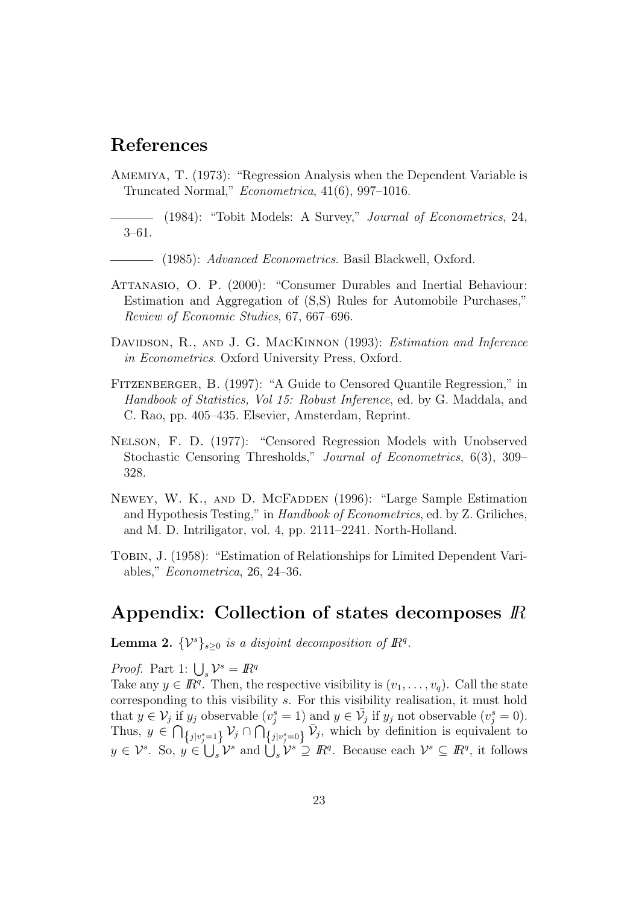## References

Amemiya, T. (1973): "Regression Analysis when the Dependent Variable is Truncated Normal," Econometrica, 41(6), 997–1016.

(1984): "Tobit Models: A Survey," Journal of Econometrics, 24, 3–61.

(1985): Advanced Econometrics. Basil Blackwell, Oxford.

- ATTANASIO, O. P. (2000): "Consumer Durables and Inertial Behaviour: Estimation and Aggregation of (S,S) Rules for Automobile Purchases," Review of Economic Studies, 67, 667–696.
- DAVIDSON, R., AND J. G. MACKINNON (1993): *Estimation and Inference* in Econometrics. Oxford University Press, Oxford.
- Fitzenberger, B. (1997): "A Guide to Censored Quantile Regression," in Handbook of Statistics, Vol 15: Robust Inference, ed. by G. Maddala, and C. Rao, pp. 405–435. Elsevier, Amsterdam, Reprint.
- Nelson, F. D. (1977): "Censored Regression Models with Unobserved Stochastic Censoring Thresholds," Journal of Econometrics, 6(3), 309– 328.
- NEWEY, W. K., AND D. MCFADDEN (1996): "Large Sample Estimation and Hypothesis Testing," in Handbook of Econometrics, ed. by Z. Griliches, and M. D. Intriligator, vol. 4, pp. 2111–2241. North-Holland.
- TOBIN, J. (1958): "Estimation of Relationships for Limited Dependent Variables," Econometrica, 26, 24–36.

### Appendix: Collection of states decomposes IR

**Lemma 2.**  $\{\mathcal{V}^s\}_{s\geq 0}$  is a disjoint decomposition of  $\mathbb{R}^q$ .

*Proof.* Part 1:  $\bigcup_{s} \mathcal{V}^s = \mathbb{R}^q$ 

Take any  $y \in \mathbb{R}^q$ . Then, the respective visibility is  $(v_1, \ldots, v_q)$ . Call the state corresponding to this visibility s. For this visibility realisation, it must hold that  $y \in \mathcal{V}_j$  if  $y_j$  observable  $(v_j^s = 1)$  and  $y \in \bar{\mathcal{V}}_j$  if  $y_j$  not observable  $(v_j^s = 0)$ . Thus,  $y \in \bigcap_{\{j|v_j^s=1\}} \mathcal{V}_j \cap \bigcap_{\{j|v_j^s=0\}} \bar{\mathcal{V}}_j$ , which by definition is equivalent to  $y \in \mathcal{V}^s$ . So,  $y \in \bigcup_s \mathcal{V}^s$  and  $\bigcup_s \mathcal{V}^s \supseteq \mathbb{R}^q$ . Because each  $\mathcal{V}^s \subseteq \mathbb{R}^q$ , it follows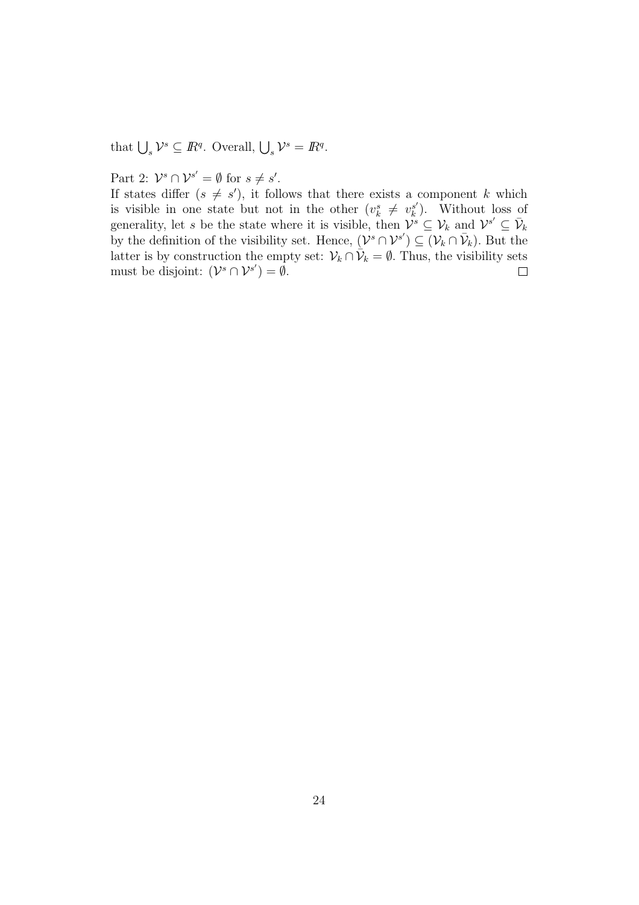that  $\bigcup_s \mathcal{V}^s \subseteq \mathbb{R}^q$ . Overall,  $\bigcup_s \mathcal{V}^s = \mathbb{R}^q$ .

## Part 2:  $\mathcal{V}^s \cap \mathcal{V}^{s'} = \emptyset$  for  $s \neq s'$ .

If states differ  $(s \neq s')$ , it follows that there exists a component k which is visible in one state but not in the other  $(v_k^s \neq v_k^{s'}$  $s'$ ). Without loss of generality, let s be the state where it is visible, then  $\mathcal{V}^s \subseteq \mathcal{V}_k$  and  $\mathcal{V}^{s'} \subseteq \bar{\mathcal{V}}_k$ by the definition of the visibility set. Hence,  $(\mathcal{V}^s \cap \mathcal{V}^{s'}) \subseteq (\mathcal{V}_k \cap \bar{\mathcal{V}}_k)$ . But the latter is by construction the empty set:  $\mathcal{V}_k \cap \mathcal{V}_k = \emptyset$ . Thus, the visibility sets must be disjoint:  $(\mathcal{V}^s \cap \mathcal{V}^{s'}) = \emptyset$ .